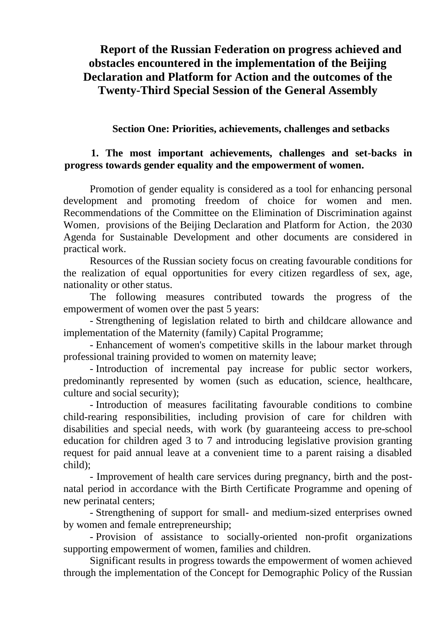# **Report of the Russian Federation on progress achieved and obstacles encountered in the implementation of the Beijing Declaration and Platform for Action and the outcomes of the Twenty-Third Special Session of the General Assembly**

#### **Section One: Priorities, achievements, challenges and setbacks**

## **1. The most important achievements, challenges and set-backs in progress towards gender equality and the empowerment of women.**

Promotion of gender equality is considered as a tool for enhancing personal development and promoting freedom of choice for women and men. Recommendations of the Committee on the Elimination of Discrimination against Women, provisions of the Beijing Declaration and Platform for Action, the 2030 Agenda for Sustainable Development and other documents are considered in practical work.

Resources of the Russian society focus on creating favourable conditions for the realization of equal opportunities for every citizen regardless of sex, age, nationality or other status.

The following measures contributed towards the progress of the empowerment of women over the past 5 years:

- Strengthening of legislation related to birth and childcare allowance and implementation of the Maternity (family) Capital Programme;

- Enhancement of women's competitive skills in the labour market through professional training provided to women on maternity leave;

- Introduction of incremental pay increase for public sector workers, predominantly represented by women (such as education, science, healthcare, culture and social security);

- Introduction of measures facilitating favourable conditions to combine child-rearing responsibilities, including provision of care for children with disabilities and special needs, with work (by guaranteeing access to pre-school education for children aged 3 to 7 and introducing legislative provision granting request for paid annual leave at a convenient time to a parent raising a disabled child);

- Improvement of health care services during pregnancy, birth and the postnatal period in accordance with the Birth Certificate Programme and opening of new perinatal centers;

- Strengthening of support for small- and medium-sized enterprises owned by women and female entrepreneurship;

- Provision of assistance to socially-oriented non-profit organizations supporting empowerment of women, families and children.

Significant results in progress towards the empowerment of women achieved through the implementation of the Concept for Demographic Policy of the Russian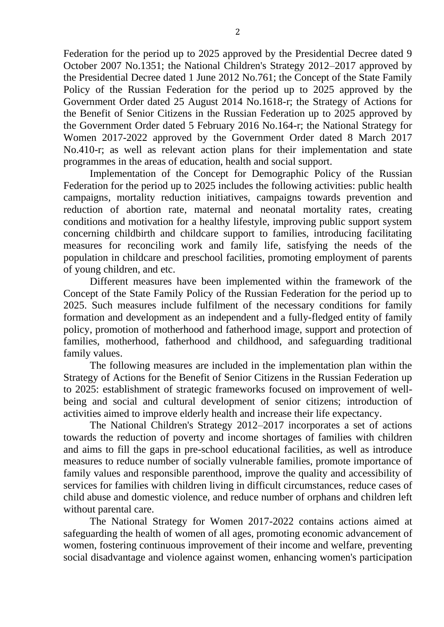Federation for the period up to 2025 approved by the Presidential Decree dated 9 October 2007 No.1351; the National Children's Strategy 2012–2017 approved by the Presidential Decree dated 1 June 2012 No.761; the Concept of the State Family Policy of the Russian Federation for the period up to 2025 approved by the Government Order dated 25 August 2014 No.1618-r; the Strategy of Actions for the Benefit of Senior Citizens in the Russian Federation up to 2025 approved by the Government Order dated 5 February 2016 No.164-r; the National Strategy for Women 2017-2022 approved by the Government Order dated 8 March 2017 No.410-r; as well as relevant action plans for their implementation and state programmes in the areas of education, health and social support.

Implementation of the Concept for Demographic Policy of the Russian Federation for the period up to 2025 includes the following activities: public health campaigns, mortality reduction initiatives, campaigns towards prevention and reduction of abortion rate, maternal and neonatal mortality rates, creating conditions and motivation for a healthy lifestyle, improving public support system concerning childbirth and childcare support to families, introducing facilitating measures for reconciling work and family life, satisfying the needs of the population in childcare and preschool facilities, promoting employment of parents of young children, and etc.

Different measures have been implemented within the framework of the Concept of the State Family Policy of the Russian Federation for the period up to 2025. Such measures include fulfilment of the necessary conditions for family formation and development as an independent and a fully-fledged entity of family policy, promotion of motherhood and fatherhood image, support and protection of families, motherhood, fatherhood and childhood, and safeguarding traditional family values.

The following measures are included in the implementation plan within the Strategy of Actions for the Benefit of Senior Citizens in the Russian Federation up to 2025: establishment of strategic frameworks focused on improvement of wellbeing and social and cultural development of senior citizens; introduction of activities aimed to improve elderly health and increase their life expectancy.

The National Children's Strategy 2012–2017 incorporates a set of actions towards the reduction of poverty and income shortages of families with children and aims to fill the gaps in pre-school educational facilities, as well as introduce measures to reduce number of socially vulnerable families, promote importance of family values and responsible parenthood, improve the quality and accessibility of services for families with children living in difficult circumstances, reduce cases of child abuse and domestic violence, and reduce number of orphans and children left without parental care.

The National Strategy for Women 2017-2022 contains actions aimed at safeguarding the health of women of all ages, promoting economic advancement of women, fostering continuous improvement of their income and welfare, preventing social disadvantage and violence against women, enhancing women's participation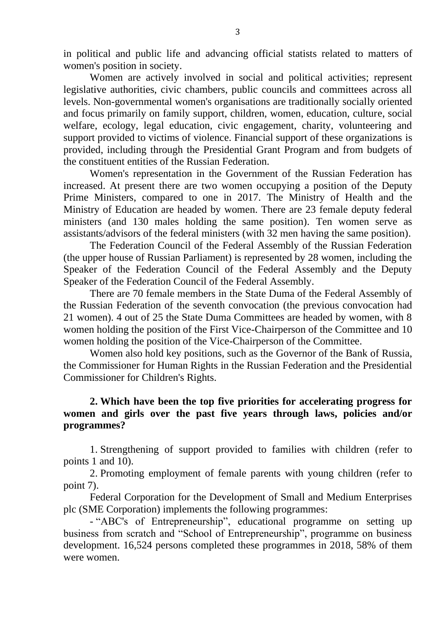in political and public life and advancing official statists related to matters of women's position in society.

Women are actively involved in social and political activities; represent legislative authorities, civic chambers, public councils and committees across all levels. Non-governmental women's organisations are traditionally socially oriented and focus primarily on family support, children, women, education, culture, social welfare, ecology, legal education, civic engagement, charity, volunteering and support provided to victims of violence. Financial support of these organizations is provided, including through the Presidential Grant Program and from budgets of the constituent entities of the Russian Federation.

Women's representation in the Government of the Russian Federation has increased. At present there are two women occupying a position of the Deputy Prime Ministers, compared to one in 2017. The Ministry of Health and the Ministry of Education are headed by women. There are 23 female deputy federal ministers (and 130 males holding the same position). Ten women serve as assistants/advisors of the federal ministers (with 32 men having the same position).

The Federation Council of the Federal Assembly of the Russian Federation (the upper house of Russian Parliament) is represented by 28 women, including the Speaker of the Federation Council of the Federal Assembly and the Deputy Speaker of the Federation Council of the Federal Assembly.

There are 70 female members in the State Duma of the Federal Assembly of the Russian Federation of the seventh convocation (the previous convocation had 21 women). 4 out of 25 the State Duma Committees are headed by women, with 8 women holding the position of the First Vice-Chairperson of the Committee and 10 women holding the position of the Vice-Chairperson of the Committee.

Women also hold key positions, such as the Governor of the Bank of Russia, the Commissioner for Human Rights in the Russian Federation and the Presidential Commissioner for Children's Rights.

#### **2. Which have been the top five priorities for accelerating progress for women and girls over the past five years through laws, policies and/or programmes?**

1. Strengthening of support provided to families with children (refer to points 1 and 10).

2. Promoting employment of female parents with young children (refer to point 7).

Federal Corporation for the Development of Small and Medium Enterprises plc (SME Corporation) implements the following programmes:

- "ABC's of Entrepreneurship", educational programme on setting up business from scratch and "School of Entrepreneurship", programme on business development. 16,524 persons completed these programmes in 2018, 58% of them were women.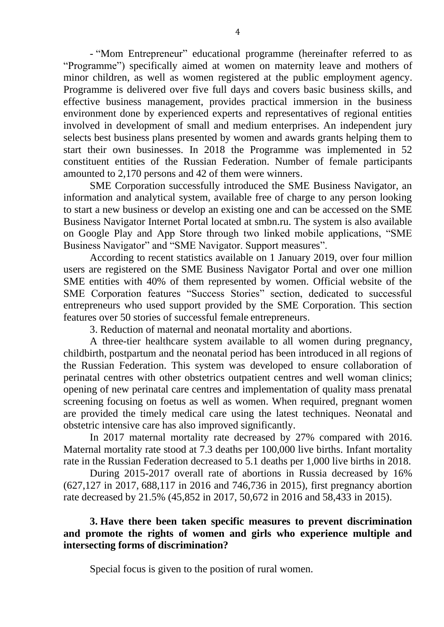- "Mom Entrepreneur" educational programme (hereinafter referred to as "Programme") specifically aimed at women on maternity leave and mothers of minor children, as well as women registered at the public employment agency. Programme is delivered over five full days and covers basic business skills, and effective business management, provides practical immersion in the business environment done by experienced experts and representatives of regional entities involved in development of small and medium enterprises. An independent jury selects best business plans presented by women and awards grants helping them to start their own businesses. In 2018 the Programme was implemented in 52 constituent entities of the Russian Federation. Number of female participants amounted to 2,170 persons and 42 of them were winners.

SME Corporation successfully introduced the SME Business Navigator, an information and analytical system, available free of charge to any person looking to start a new business or develop an existing one and can be accessed on the SME Business Navigator Internet Portal located at smbn.ru. The system is also available on Google Play and Арр Store through two linked mobile applications, "SME Business Navigator" and "SME Navigator. Support measures".

According to recent statistics available on 1 January 2019, over four million users are registered on the SME Business Navigator Portal and over one million SME entities with 40% of them represented by women. Official website of the SME Corporation features "Success Stories" section, dedicated to successful entrepreneurs who used support provided by the SME Corporation. This section features over 50 stories of successful female entrepreneurs.

3. Reduction of maternal and neonatal mortality and abortions.

A three-tier healthcare system available to all women during pregnancy, childbirth, postpartum and the neonatal period has been introduced in all regions of the Russian Federation. This system was developed to ensure collaboration of perinatal centres with other obstetrics outpatient centres and well woman clinics; opening of new perinatal care centres and implementation of quality mass prenatal screening focusing on foetus as well as women. When required, pregnant women are provided the timely medical care using the latest techniques. Neonatal and obstetric intensive care has also improved significantly.

In 2017 maternal mortality rate decreased by 27% compared with 2016. Maternal mortality rate stood at 7.3 deaths per 100,000 live births. Infant mortality rate in the Russian Federation decreased to 5.1 deaths per 1,000 live births in 2018.

During 2015-2017 overall rate of abortions in Russia decreased by 16% (627,127 in 2017, 688,117 in 2016 and 746,736 in 2015), first pregnancy abortion rate decreased by 21.5% (45,852 in 2017, 50,672 in 2016 and 58,433 in 2015).

## **3. Have there been taken specific measures to prevent discrimination and promote the rights of women and girls who experience multiple and intersecting forms of discrimination?**

Special focus is given to the position of rural women.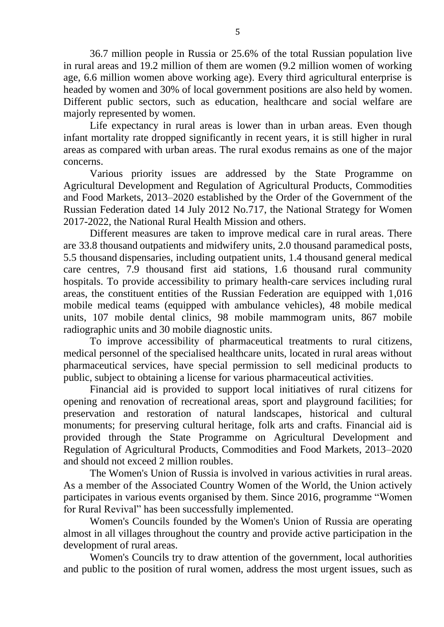36.7 million people in Russia or 25.6% of the total Russian population live in rural areas and 19.2 million of them are women (9.2 million women of working age, 6.6 million women above working age). Every third agricultural enterprise is headed by women and 30% of local government positions are also held by women. Different public sectors, such as education, healthcare and social welfare are majorly represented by women.

Life expectancy in rural areas is lower than in urban areas. Even though infant mortality rate dropped significantly in recent years, it is still higher in rural areas as compared with urban areas. The rural exodus remains as one of the major concerns.

Various priority issues are addressed by the State Programme on Agricultural Development and Regulation of Agricultural Products, Commodities and Food Markets, 2013–2020 established by the Order of the Government of the Russian Federation dated 14 July 2012 No.717, the National Strategy for Women 2017-2022, the National Rural Health Mission and others.

Different measures are taken to improve medical care in rural areas. There are 33.8 thousand outpatients and midwifery units, 2.0 thousand paramedical posts, 5.5 thousand dispensaries, including outpatient units, 1.4 thousand general medical care centres, 7.9 thousand first aid stations, 1.6 thousand rural community hospitals. To provide accessibility to primary health-care services including rural areas, the constituent entities of the Russian Federation are equipped with 1,016 mobile medical teams (equipped with ambulance vehicles), 48 mobile medical units, 107 mobile dental clinics, 98 mobile mammogram units, 867 mobile radiographic units and 30 mobile diagnostic units.

To improve accessibility of pharmaceutical treatments to rural citizens, medical personnel of the specialised healthcare units, located in rural areas without pharmaceutical services, have special permission to sell medicinal products to public, subject to obtaining a license for various pharmaceutical activities.

Financial aid is provided to support local initiatives of rural citizens for opening and renovation of recreational areas, sport and playground facilities; for preservation and restoration of natural landscapes, historical and cultural monuments; for preserving cultural heritage, folk arts and crafts. Financial aid is provided through the State Programme on Agricultural Development and Regulation of Agricultural Products, Commodities and Food Markets, 2013–2020 and should not exceed 2 million roubles.

The Women's Union of Russia is involved in various activities in rural areas. As a member of the Associated Country Women of the World, the Union actively participates in various events organised by them. Since 2016, programme "Women for Rural Revival" has been successfully implemented.

Women's Councils founded by the Women's Union of Russia are operating almost in all villages throughout the country and provide active participation in the development of rural areas.

Women's Councils try to draw attention of the government, local authorities and public to the position of rural women, address the most urgent issues, such as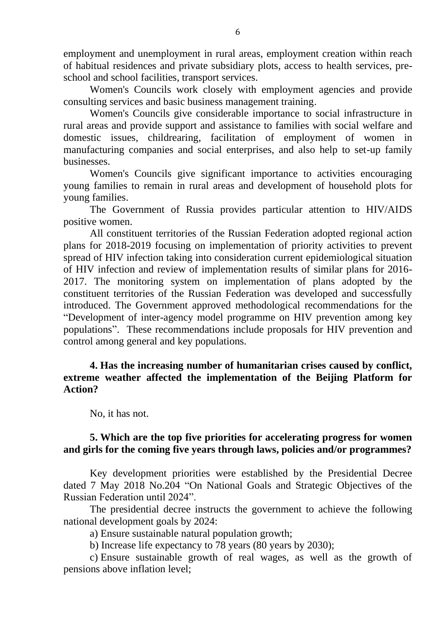employment and unemployment in rural areas, employment creation within reach of habitual residences and private subsidiary plots, access to health services, preschool and school facilities, transport services.

Women's Councils work closely with employment agencies and provide consulting services and basic business management training.

Women's Councils give considerable importance to social infrastructure in rural areas and provide support and assistance to families with social welfare and domestic issues, childrearing, facilitation of employment of women in manufacturing companies and social enterprises, and also help to set-up family businesses.

Women's Councils give significant importance to activities encouraging young families to remain in rural areas and development of household plots for young families.

The Government of Russia provides particular attention to HIV/AIDS positive women.

All constituent territories of the Russian Federation adopted regional action plans for 2018-2019 focusing on implementation of priority activities to prevent spread of HIV infection taking into consideration current epidemiological situation of HIV infection and review of implementation results of similar plans for 2016- 2017. The monitoring system on implementation of plans adopted by the constituent territories of the Russian Federation was developed and successfully introduced. The Government approved methodological recommendations for the "Development of inter-agency model programme on HIV prevention among key populations". These recommendations include proposals for HIV prevention and control among general and key populations.

#### **4. Has the increasing number of humanitarian crises caused by conflict, extreme weather affected the implementation of the Beijing Platform for Action?**

No, it has not.

## **5. Which are the top five priorities for accelerating progress for women and girls for the coming five years through laws, policies and/or programmes?**

Key development priorities were established by the Presidential Decree dated 7 May 2018 No.204 "On National Goals and Strategic Objectives of the Russian Federation until 2024".

The presidential decree instructs the government to achieve the following national development goals by 2024:

a) Ensure sustainable natural population growth;

b) Increase life expectancy to 78 years (80 years by 2030);

c) Ensure sustainable growth of real wages, as well as the growth of pensions above inflation level;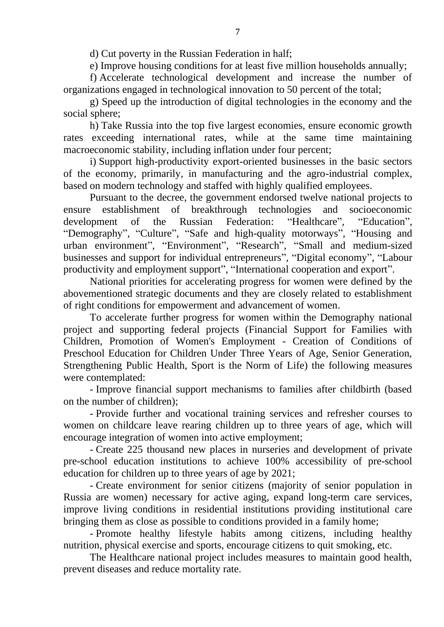d) Cut poverty in the Russian Federation in half;

e) Improve housing conditions for at least five million households annually;

f) Accelerate technological development and increase the number of organizations engaged in technological innovation to 50 percent of the total;

g) Speed up the introduction of digital technologies in the economy and the social sphere;

h) Take Russia into the top five largest economies, ensure economic growth rates exceeding international rates, while at the same time maintaining macroeconomic stability, including inflation under four percent;

i) Support high-productivity export-oriented businesses in the basic sectors of the economy, primarily, in manufacturing and the agro-industrial complex, based on modern technology and staffed with highly qualified employees.

Pursuant to the decree, the government endorsed twelve national projects to ensure establishment of breakthrough technologies and socioeconomic development of the Russian Federation: "Healthcare", "Education", "Demography", "Culture", "Safe and high-quality motorways", "Housing and urban environment", "Environment", "Research", "Small and medium-sized businesses and support for individual entrepreneurs", "Digital economy", "Labour productivity and employment support", "International cooperation and export".

National priorities for accelerating progress for women were defined by the abovementioned strategic documents and they are closely related to establishment of right conditions for empowerment and advancement of women.

To accelerate further progress for women within the Demography national project and supporting federal projects (Financial Support for Families with Children, Promotion of Women's Employment - Creation of Conditions of Preschool Education for Children Under Three Years of Age, Senior Generation, Strengthening Public Health, Sport is the Norm of Life) the following measures were contemplated:

- Improve financial support mechanisms to families after childbirth (based on the number of children);

- Provide further and vocational training services and refresher courses to women on childcare leave rearing children up to three years of age, which will encourage integration of women into active employment;

- Create 225 thousand new places in nurseries and development of private pre-school education institutions to achieve 100% accessibility of pre-school education for children up to three years of age by 2021;

- Create environment for senior citizens (majority of senior population in Russia are women) necessary for active aging, expand long-term care services, improve living conditions in residential institutions providing institutional care bringing them as close as possible to conditions provided in a family home;

- Promote healthy lifestyle habits among citizens, including healthy nutrition, physical exercise and sports, encourage citizens to quit smoking, etc.

The Healthcare national project includes measures to maintain good health, prevent diseases and reduce mortality rate.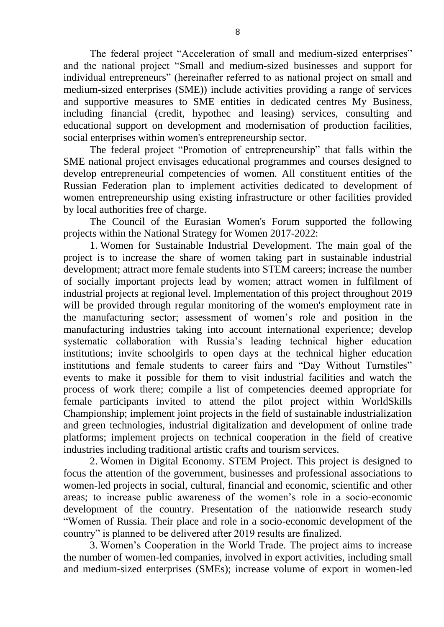The federal project "Acceleration of small and medium-sized enterprises" and the national project "Small and medium-sized businesses and support for individual entrepreneurs" (hereinafter referred to as national project on small and medium-sized enterprises (SME)) include activities providing a range of services and supportive measures to SME entities in dedicated centres My Business, including financial (credit, hypothec and leasing) services, consulting and educational support on development and modernisation of production facilities, social enterprises within women's entrepreneurship sector.

The federal project "Promotion of entrepreneurship" that falls within the SME national project envisages educational programmes and courses designed to develop entrepreneurial competencies of women. All constituent entities of the Russian Federation plan to implement activities dedicated to development of women entrepreneurship using existing infrastructure or other facilities provided by local authorities free of charge.

The Council of the Eurasian Women's Forum supported the following projects within the National Strategy for Women 2017-2022:

1. Women for Sustainable Industrial Development. The main goal of the project is to increase the share of women taking part in sustainable industrial development; attract more female students into STEM careers; increase the number of socially important projects lead by women; attract women in fulfilment of industrial projects at regional level. Implementation of this project throughout 2019 will be provided through regular monitoring of the women's employment rate in the manufacturing sector; assessment of women's role and position in the manufacturing industries taking into account international experience; develop systematic collaboration with Russia's leading technical higher education institutions; invite schoolgirls to open days at the technical higher education institutions and female students to career fairs and "Day Without Turnstiles" events to make it possible for them to visit industrial facilities and watch the process of work there; compile a list of competencies deemed appropriate for female participants invited to attend the pilot project within WorldSkills Championship; implement joint projects in the field of sustainable industrialization and green technologies, industrial digitalization and development of online trade platforms; implement projects on technical cooperation in the field of creative industries including traditional artistic crafts and tourism services.

2. Women in Digital Economy. STEM Project. This project is designed to focus the attention of the government, businesses and professional associations to women-led projects in social, cultural, financial and economic, scientific and other areas; to increase public awareness of the women's role in a socio-economic development of the country. Presentation of the nationwide research study "Women of Russia. Their place and role in a socio-economic development of the country" is planned to be delivered after 2019 results are finalized.

3. Women's Cooperation in the World Trade. The project aims to increase the number of women-led companies, involved in export activities, including small and medium-sized enterprises (SMEs); increase volume of export in women-led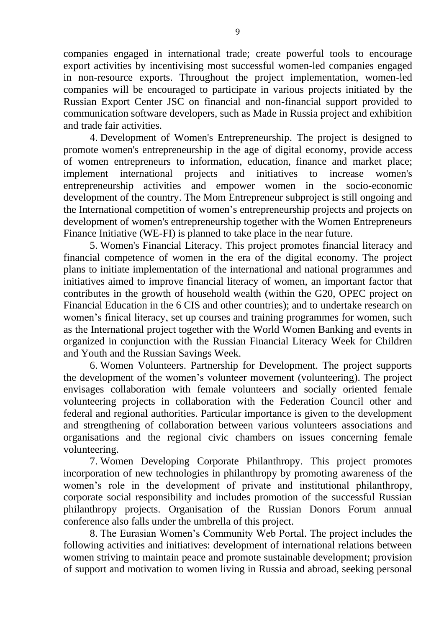companies engaged in international trade; create powerful tools to encourage export activities by incentivising most successful women-led companies engaged in non-resource exports. Throughout the project implementation, women-led companies will be encouraged to participate in various projects initiated by the Russian Export Center JSC on financial and non-financial support provided to communication software developers, such as Made in Russia project and exhibition and trade fair activities.

4. Development of Women's Entrepreneurship. The project is designed to promote women's entrepreneurship in the age of digital economy, provide access of women entrepreneurs to information, education, finance and market place; implement international projects and initiatives to increase women's entrepreneurship activities and empower women in the socio-economic development of the country. The Mom Entrepreneur subproject is still ongoing and the International competition of women's entrepreneurship projects and projects on development of women's entrepreneurship together with the Women Entrepreneurs Finance Initiative (WE-FI) is planned to take place in the near future.

5. Women's Financial Literacy. This project promotes financial literacy and financial competence of women in the era of the digital economy. The project plans to initiate implementation of the international and national programmes and initiatives aimed to improve financial literacy of women, an important factor that contributes in the growth of household wealth (within the G20, OPEC project on Financial Education in the 6 CIS and other countries); and to undertake research on women's finical literacy, set up courses and training programmes for women, such as the International project together with the World Women Banking and events in organized in conjunction with the Russian Financial Literacy Week for Children and Youth and the Russian Savings Week.

6. Women Volunteers. Partnership for Development. The project supports the development of the women's volunteer movement (volunteering). The project envisages collaboration with female volunteers and socially oriented female volunteering projects in collaboration with the Federation Council other and federal and regional authorities. Particular importance is given to the development and strengthening of collaboration between various volunteers associations and organisations and the regional civic chambers on issues concerning female volunteering.

7. Women Developing Corporate Philanthropy. This project promotes incorporation of new technologies in philanthropy by promoting awareness of the women's role in the development of private and institutional philanthropy, corporate social responsibility and includes promotion of the successful Russian philanthropy projects. Organisation of the Russian Donors Forum annual conference also falls under the umbrella of this project.

8. The Eurasian Women's Community Web Portal. The project includes the following activities and initiatives: development of international relations between women striving to maintain peace and promote sustainable development; provision of support and motivation to women living in Russia and abroad, seeking personal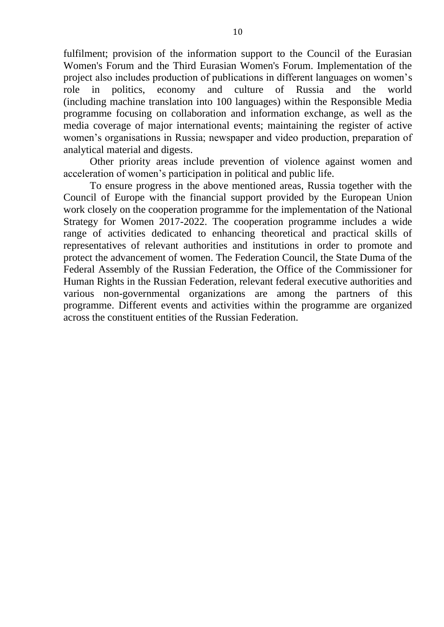fulfilment; provision of the information support to the Council of the Eurasian Women's Forum and the Third Eurasian Women's Forum. Implementation of the project also includes production of publications in different languages on women's role in politics, economy and culture of Russia and the world (including machine translation into 100 languages) within the Responsible Media programme focusing on collaboration and information exchange, as well as the media coverage of major international events; maintaining the register of active women's organisations in Russia; newspaper and video production, preparation of analytical material and digests.

Other priority areas include prevention of violence against women and acceleration of women's participation in political and public life.

To ensure progress in the above mentioned areas, Russia together with the Council of Europe with the financial support provided by the European Union work closely on the cooperation programme for the implementation of the National Strategy for Women 2017-2022. The cooperation programme includes a wide range of activities dedicated to enhancing theoretical and practical skills of representatives of relevant authorities and institutions in order to promote and protect the advancement of women. The Federation Council, the State Duma of the Federal Assembly of the Russian Federation, the Office of the Commissioner for Human Rights in the Russian Federation, relevant federal executive authorities and various non-governmental organizations are among the partners of this programme. Different events and activities within the programme are organized across the constituent entities of the Russian Federation.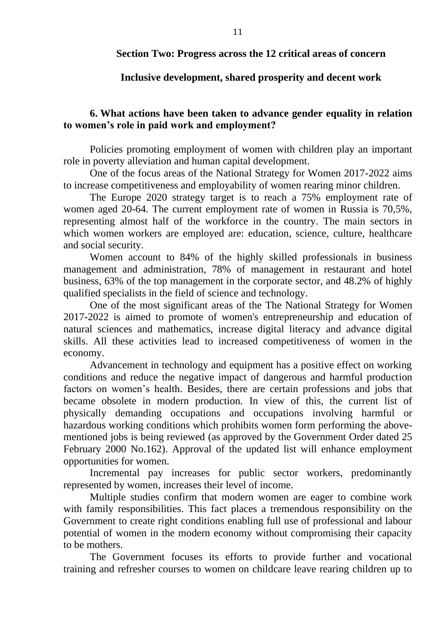#### **Section Two: Progress across the 12 critical areas of concern**

#### **Inclusive development, shared prosperity and decent work**

#### **6. What actions have been taken to advance gender equality in relation to women's role in paid work and employment?**

Policies promoting employment of women with children play an important role in poverty alleviation and human capital development.

One of the focus areas of the National Strategy for Women 2017-2022 aims to increase competitiveness and employability of women rearing minor children.

The Europe 2020 strategy target is to reach a 75% employment rate of women aged 20-64. The current employment rate of women in Russia is 70,5%, representing almost half of the workforce in the country. The main sectors in which women workers are employed are: education, science, culture, healthcare and social security.

Women account to 84% of the highly skilled professionals in business management and administration, 78% of management in restaurant and hotel business, 63% of the top management in the corporate sector, and 48.2% of highly qualified specialists in the field of science and technology.

One of the most significant areas of the The National Strategy for Women 2017-2022 is aimed to promote of women's entrepreneurship and education of natural sciences and mathematics, increase digital literacy and advance digital skills. All these activities lead to increased competitiveness of women in the economy.

Advancement in technology and equipment has a positive effect on working conditions and reduce the negative impact of dangerous and harmful production factors on women's health. Besides, there are certain professions and jobs that became obsolete in modern production. In view of this, the current list of physically demanding occupations and occupations involving harmful or hazardous working conditions which prohibits women form performing the abovementioned jobs is being reviewed (as approved by the Government Order dated 25 February 2000 No.162). Approval of the updated list will enhance employment opportunities for women.

Incremental pay increases for public sector workers, predominantly represented by women, increases their level of income.

Multiple studies confirm that modern women are eager to combine work with family responsibilities. This fact places a tremendous responsibility on the Government to create right conditions enabling full use of professional and labour potential of women in the modern economy without compromising their capacity to be mothers.

The Government focuses its efforts to provide further and vocational training and refresher courses to women on childcare leave rearing children up to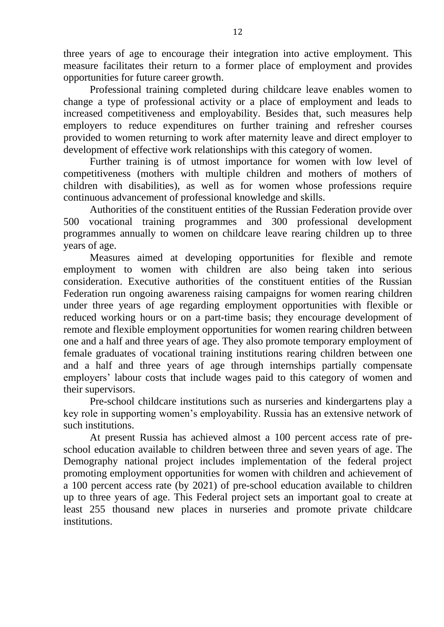three years of age to encourage their integration into active employment. This measure facilitates their return to a former place of employment and provides opportunities for future career growth.

Professional training completed during childcare leave enables women to change a type of professional activity or a place of employment and leads to increased competitiveness and employability. Besides that, such measures help employers to reduce expenditures on further training and refresher courses provided to women returning to work after maternity leave and direct employer to development of effective work relationships with this category of women.

Further training is of utmost importance for women with low level of competitiveness (mothers with multiple children and mothers of mothers of children with disabilities), as well as for women whose professions require continuous advancement of professional knowledge and skills.

Authorities of the constituent entities of the Russian Federation provide over 500 vocational training programmes and 300 professional development programmes annually to women on childcare leave rearing children up to three years of age.

Measures aimed at developing opportunities for flexible and remote employment to women with children are also being taken into serious consideration. Executive authorities of the constituent entities of the Russian Federation run ongoing awareness raising campaigns for women rearing children under three years of age regarding employment opportunities with flexible or reduced working hours or on a part-time basis; they encourage development of remote and flexible employment opportunities for women rearing children between one and a half and three years of age. They also promote temporary employment of female graduates of vocational training institutions rearing children between one and a half and three years of age through internships partially compensate employers' labour costs that include wages paid to this category of women and their supervisors.

Pre-school childcare institutions such as nurseries and kindergartens play a key role in supporting women's employability. Russia has an extensive network of such institutions.

At present Russia has achieved almost a 100 percent access rate of preschool education available to children between three and seven years of age. The Demography national project includes implementation of the federal project promoting employment opportunities for women with children and achievement of a 100 percent access rate (by 2021) of pre-school education available to children up to three years of age. This Federal project sets an important goal to create at least 255 thousand new places in nurseries and promote private childcare institutions.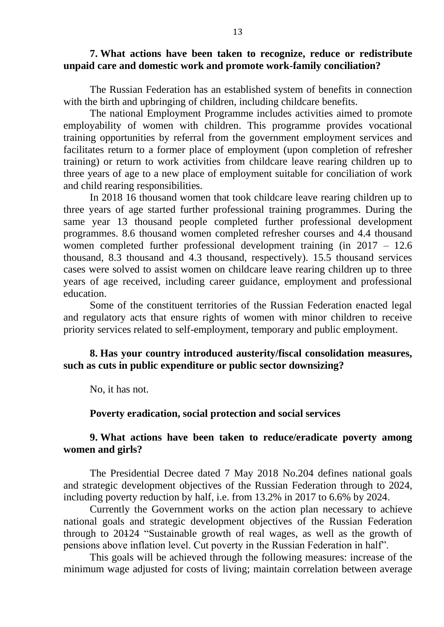#### **7. What actions have been taken to recognize, reduce or redistribute unpaid care and domestic work and promote work-family conciliation?**

The Russian Federation has an established system of benefits in connection with the birth and upbringing of children, including childcare benefits.

The national Employment Programme includes activities aimed to promote employability of women with children. This programme provides vocational training opportunities by referral from the government employment services and facilitates return to a former place of employment (upon completion of refresher training) or return to work activities from childcare leave rearing children up to three years of age to a new place of employment suitable for conciliation of work and child rearing responsibilities.

In 2018 16 thousand women that took childcare leave rearing children up to three years of age started further professional training programmes. During the same year 13 thousand people completed further professional development programmes. 8.6 thousand women completed refresher courses and 4.4 thousand women completed further professional development training (in 2017 – 12.6 thousand, 8.3 thousand and 4.3 thousand, respectively). 15.5 thousand services cases were solved to assist women on childcare leave rearing children up to three years of age received, including career guidance, employment and professional education.

Some of the constituent territories of the Russian Federation enacted legal and regulatory acts that ensure rights of women with minor children to receive priority services related to self-employment, temporary and public employment.

## **8. Has your country introduced austerity/fiscal consolidation measures, such as cuts in public expenditure or public sector downsizing?**

No, it has not.

#### **Poverty eradication, social protection and social services**

## **9. What actions have been taken to reduce/eradicate poverty among women and girls?**

The Presidential Decree dated 7 May 2018 No.204 defines national goals and strategic development objectives of the Russian Federation through to 2024, including poverty reduction by half, i.e. from 13.2% in 2017 to 6.6% by 2024.

Currently the Government works on the action plan necessary to achieve national goals and strategic development objectives of the Russian Federation through to 20124 "Sustainable growth of real wages, as well as the growth of pensions above inflation level. Cut poverty in the Russian Federation in half".

This goals will be achieved through the following measures: increase of the minimum wage adjusted for costs of living; maintain correlation between average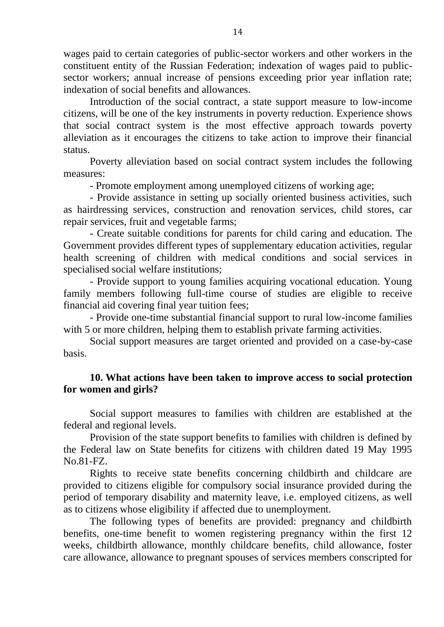wages paid to certain categories of public-sector workers and other workers in the constituent entity of the Russian Federation; indexation of wages paid to publicsector workers; annual increase of pensions exceeding prior year inflation rate; indexation of social benefits and allowances.

Introduction of the social contract, a state support measure to low-income citizens, will be one of the key instruments in poverty reduction. Experience shows that social contract system is the most effective approach towards poverty alleviation as it encourages the citizens to take action to improve their financial status.

Poverty alleviation based on social contract system includes the following measures:

- Promote employment among unemployed citizens of working age;

- Provide assistance in setting up socially oriented business activities, such as hairdressing services, construction and renovation services, child stores, car repair services, fruit and vegetable farms;

- Create suitable conditions for parents for child caring and education. The Government provides different types of supplementary education activities, regular health screening of children with medical conditions and social services in specialised social welfare institutions;

- Provide support to young families acquiring vocational education. Young family members following full-time course of studies are eligible to receive financial aid covering final year tuition fees;

- Provide one-time substantial financial support to rural low-income families with 5 or more children, helping them to establish private farming activities.

Social support measures are target oriented and provided on a case-by-case basis.

## **10. What actions have been taken to improve access to social protection for women and girls?**

Social support measures to families with children are established at the federal and regional levels.

Provision of the state support benefits to families with children is defined by the Federal law on State benefits for citizens with children dated 19 May 1995 No.81-FZ.

Rights to receive state benefits concerning childbirth and childcare are provided to citizens eligible for compulsory social insurance provided during the period of temporary disability and maternity leave, i.e. employed citizens, as well as to citizens whose eligibility if affected due to unemployment.

The following types of benefits are provided: pregnancy and childbirth benefits, one-time benefit to women registering pregnancy within the first 12 weeks, childbirth allowance, monthly childcare benefits, child allowance, foster care allowance, allowance to pregnant spouses of services members conscripted for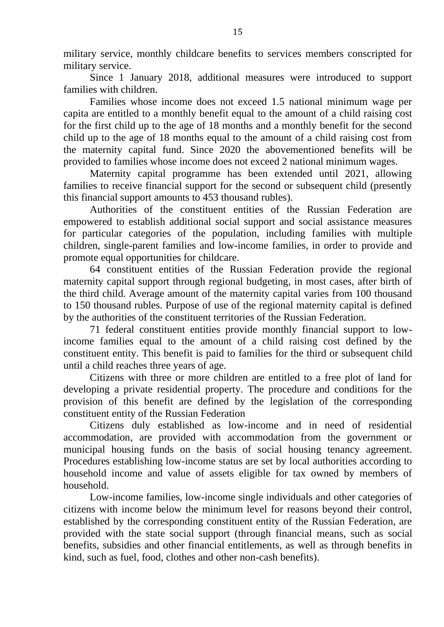military service, monthly childcare benefits to services members conscripted for military service.

Since 1 January 2018, additional measures were introduced to support families with children.

Families whose income does not exceed 1.5 national minimum wage per capita are entitled to a monthly benefit equal to the amount of a child raising cost for the first child up to the age of 18 months and a monthly benefit for the second child up to the age of 18 months equal to the amount of a child raising cost from the maternity capital fund. Since 2020 the abovementioned benefits will be provided to families whose income does not exceed 2 national minimum wages.

Maternity capital programme has been extended until 2021, allowing families to receive financial support for the second or subsequent child (presently this financial support amounts to 453 thousand rubles).

Authorities of the constituent entities of the Russian Federation are empowered to establish additional social support and social assistance measures for particular categories of the population, including families with multiple children, single-parent families and low-income families, in order to provide and promote equal opportunities for childcare.

64 constituent entities of the Russian Federation provide the regional maternity capital support through regional budgeting, in most cases, after birth of the third child. Average amount of the maternity capital varies from 100 thousand to 150 thousand rubles. Purpose of use of the regional maternity capital is defined by the authorities of the constituent territories of the Russian Federation.

71 federal constituent entities provide monthly financial support to lowincome families equal to the amount of a child raising cost defined by the constituent entity. This benefit is paid to families for the third or subsequent child until a child reaches three years of age.

Citizens with three or more children are entitled to a free plot of land for developing a private residential property. The procedure and conditions for the provision of this benefit are defined by the legislation of the corresponding constituent entity of the Russian Federation

Citizens duly established as low-income and in need of residential accommodation, are provided with accommodation from the government or municipal housing funds on the basis of social housing tenancy agreement. Procedures establishing low-income status are set by local authorities according to household income and value of assets eligible for tax owned by members of household.

Low-income families, low-income single individuals and other categories of citizens with income below the minimum level for reasons beyond their control, established by the corresponding constituent entity of the Russian Federation, are provided with the state social support (through financial means, such as social benefits, subsidies and other financial entitlements, as well as through benefits in kind, such as fuel, food, clothes and other non-cash benefits).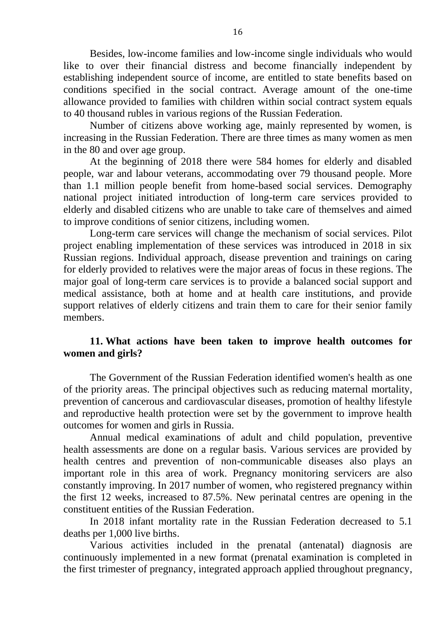Besides, low-income families and low-income single individuals who would like to over their financial distress and become financially independent by establishing independent source of income, are entitled to state benefits based on conditions specified in the social contract. Average amount of the one-time allowance provided to families with children within social contract system equals to 40 thousand rubles in various regions of the Russian Federation.

Number of citizens above working age, mainly represented by women, is increasing in the Russian Federation. There are three times as many women as men in the 80 and over age group.

At the beginning of 2018 there were 584 homes for elderly and disabled people, war and labour veterans, accommodating over 79 thousand people. More than 1.1 million people benefit from home-based social services. Demography national project initiated introduction of long-term care services provided to elderly and disabled citizens who are unable to take care of themselves and aimed to improve conditions of senior citizens, including women.

Long-term care services will change the mechanism of social services. Pilot project enabling implementation of these services was introduced in 2018 in six Russian regions. Individual approach, disease prevention and trainings on caring for elderly provided to relatives were the major areas of focus in these regions. The major goal of long-term care services is to provide a balanced social support and medical assistance, both at home and at health care institutions, and provide support relatives of elderly citizens and train them to care for their senior family members.

## **11. What actions have been taken to improve health outcomes for women and girls?**

The Government of the Russian Federation identified women's health as one of the priority areas. The principal objectives such as reducing maternal mortality, prevention of cancerous and cardiovascular diseases, promotion of healthy lifestyle and reproductive health protection were set by the government to improve health outcomes for women and girls in Russia.

Annual medical examinations of adult and child population, preventive health assessments are done on a regular basis. Various services are provided by health centres and prevention of non-communicable diseases also plays an important role in this area of work. Pregnancy monitoring servicers are also constantly improving. In 2017 number of women, who registered pregnancy within the first 12 weeks, increased to 87.5%. New perinatal centres are opening in the constituent entities of the Russian Federation.

In 2018 infant mortality rate in the Russian Federation decreased to 5.1 deaths per 1,000 live births.

Various activities included in the prenatal (antenatal) diagnosis are continuously implemented in a new format (prenatal examination is completed in the first trimester of pregnancy, integrated approach applied throughout pregnancy,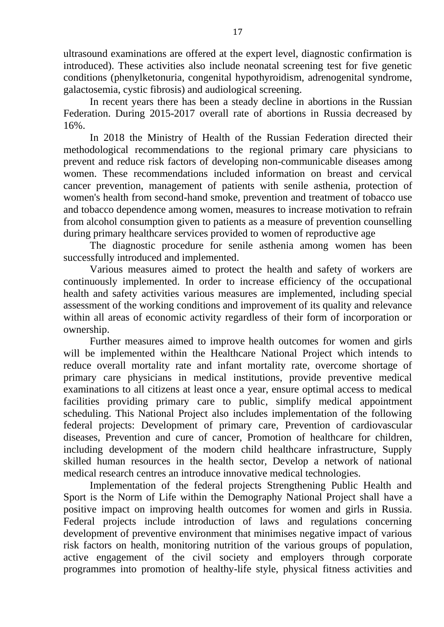ultrasound examinations are offered at the expert level, diagnostic confirmation is introduced). These activities also include neonatal screening test for five genetic conditions (phenylketonuria, congenital hypothyroidism, adrenogenital syndrome, galactosemia, cystic fibrosis) and audiological screening.

In recent years there has been a steady decline in abortions in the Russian Federation. During 2015-2017 overall rate of abortions in Russia decreased by 16%.

In 2018 the Ministry of Health of the Russian Federation directed their methodological recommendations to the regional primary care physicians to prevent and reduce risk factors of developing non-communicable diseases among women. These recommendations included information on breast and cervical cancer prevention, management of patients with senile asthenia, protection of women's health from second-hand smoke, prevention and treatment of tobacco use and tobacco dependence among women, measures to increase motivation to refrain from alcohol consumption given to patients as a measure of prevention counselling during primary healthcare services provided to women of reproductive age

The diagnostic procedure for senile asthenia among women has been successfully introduced and implemented.

Various measures aimed to protect the health and safety of workers are continuously implemented. In order to increase efficiency of the occupational health and safety activities various measures are implemented, including special assessment of the working conditions and improvement of its quality and relevance within all areas of economic activity regardless of their form of incorporation or ownership.

Further measures aimed to improve health outcomes for women and girls will be implemented within the Healthcare National Project which intends to reduce overall mortality rate and infant mortality rate, overcome shortage of primary care physicians in medical institutions, provide preventive medical examinations to all citizens at least once a year, ensure optimal access to medical facilities providing primary care to public, simplify medical appointment scheduling. This National Project also includes implementation of the following federal projects: Development of primary care, Prevention of cardiovascular diseases, Prevention and cure of cancer, Promotion of healthcare for children, including development of the modern child healthcare infrastructure, Supply skilled human resources in the health sector, Develop a network of national medical research centres an introduce innovative medical technologies.

Implementation of the federal projects Strengthening Public Health and Sport is the Norm of Life within the Demography National Project shall have a positive impact on improving health outcomes for women and girls in Russia. Federal projects include introduction of laws and regulations concerning development of preventive environment that minimises negative impact of various risk factors on health, monitoring nutrition of the various groups of population, active engagement of the civil society and employers through corporate programmes into promotion of healthy-life style, physical fitness activities and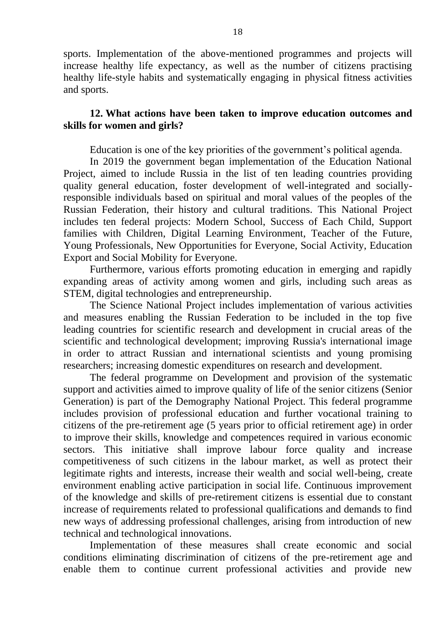sports. Implementation of the above-mentioned programmes and projects will increase healthy life expectancy, as well as the number of citizens practising healthy life-style habits and systematically engaging in physical fitness activities and sports.

#### **12. What actions have been taken to improve education outcomes and skills for women and girls?**

Education is one of the key priorities of the government's political agenda.

In 2019 the government began implementation of the Education National Project, aimed to include Russia in the list of ten leading countries providing quality general education, foster development of well-integrated and sociallyresponsible individuals based on spiritual and moral values of the peoples of the Russian Federation, their history and cultural traditions. This National Project includes ten federal projects: Modern School, Success of Each Child, Support families with Children, Digital Learning Environment, Teacher of the Future, Young Professionals, New Opportunities for Everyone, Social Activity, Education Export and Social Mobility for Everyone.

Furthermore, various efforts promoting education in emerging and rapidly expanding areas of activity among women and girls, including such areas as STEM, digital technologies and entrepreneurship.

The Science National Project includes implementation of various activities and measures enabling the Russian Federation to be included in the top five leading countries for scientific research and development in crucial areas of the scientific and technological development; improving Russia's international image in order to attract Russian and international scientists and young promising researchers; increasing domestic expenditures on research and development.

The federal programme on Development and provision of the systematic support and activities aimed to improve quality of life of the senior citizens (Senior Generation) is part of the Demography National Project. This federal programme includes provision of professional education and further vocational training to citizens of the pre-retirement age (5 years prior to official retirement age) in order to improve their skills, knowledge and competences required in various economic sectors. This initiative shall improve labour force quality and increase competitiveness of such citizens in the labour market, as well as protect their legitimate rights and interests, increase their wealth and social well-being, create environment enabling active participation in social life. Continuous improvement of the knowledge and skills of pre-retirement citizens is essential due to constant increase of requirements related to professional qualifications and demands to find new ways of addressing professional challenges, arising from introduction of new technical and technological innovations.

Implementation of these measures shall create economic and social conditions eliminating discrimination of citizens of the pre-retirement age and enable them to continue current professional activities and provide new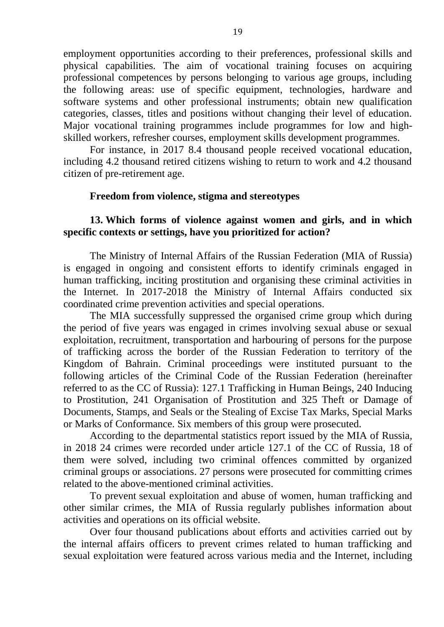employment opportunities according to their preferences, professional skills and physical capabilities. The aim of vocational training focuses on acquiring professional competences by persons belonging to various age groups, including the following areas: use of specific equipment, technologies, hardware and software systems and other professional instruments; obtain new qualification categories, classes, titles and positions without changing their level of education. Major vocational training programmes include programmes for low and highskilled workers, refresher courses, employment skills development programmes.

For instance, in 2017 8.4 thousand people received vocational education, including 4.2 thousand retired citizens wishing to return to work and 4.2 thousand citizen of pre-retirement age.

#### **Freedom from violence, stigma and stereotypes**

#### **13. Which forms of violence against women and girls, and in which specific contexts or settings, have you prioritized for action?**

The Ministry of Internal Affairs of the Russian Federation (MIA of Russia) is engaged in ongoing and consistent efforts to identify criminals engaged in human trafficking, inciting prostitution and organising these criminal activities in the Internet. In 2017-2018 the Ministry of Internal Affairs conducted six coordinated crime prevention activities and special operations.

The MIA successfully suppressed the organised crime group which during the period of five years was engaged in crimes involving sexual abuse or sexual exploitation, recruitment, transportation and harbouring of persons for the purpose of trafficking across the border of the Russian Federation to territory of the Kingdom of Bahrain. Criminal proceedings were instituted pursuant to the following articles of the Criminal Code of the Russian Federation (hereinafter referred to as the CC of Russia): 127.1 Trafficking in Human Beings, 240 Inducing to Prostitution, 241 Organisation of Prostitution and 325 Theft or Damage of Documents, Stamps, and Seals or the Stealing of Excise Tax Marks, Special Marks or Marks of Conformance. Six members of this group were prosecuted.

According to the departmental statistics report issued by the MIA of Russia, in 2018 24 crimes were recorded under article 127.1 of the CC of Russia, 18 of them were solved, including two criminal offences committed by organized criminal groups or associations. 27 persons were prosecuted for committing crimes related to the above-mentioned criminal activities.

To prevent sexual exploitation and abuse of women, human trafficking and other similar crimes, the MIA of Russia regularly publishes information about activities and operations on its official website.

Over four thousand publications about efforts and activities carried out by the internal affairs officers to prevent crimes related to human trafficking and sexual exploitation were featured across various media and the Internet, including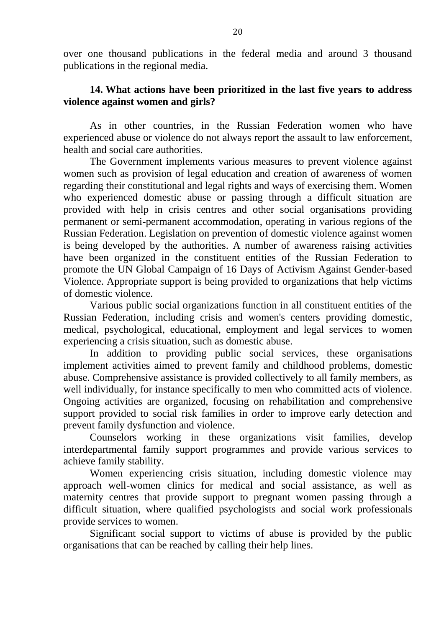over one thousand publications in the federal media and around 3 thousand publications in the regional media.

## **14. What actions have been prioritized in the last five years to address violence against women and girls?**

As in other countries, in the Russian Federation women who have experienced abuse or violence do not always report the assault to law enforcement, health and social care authorities.

The Government implements various measures to prevent violence against women such as provision of legal education and creation of awareness of women regarding their constitutional and legal rights and ways of exercising them. Women who experienced domestic abuse or passing through a difficult situation are provided with help in crisis centres and other social organisations providing permanent or semi-permanent accommodation, operating in various regions of the Russian Federation. Legislation on prevention of domestic violence against women is being developed by the authorities. A number of awareness raising activities have been organized in the constituent entities of the Russian Federation to promote the UN Global Campaign of 16 Days of Activism Against Gender-based Violence. Appropriate support is being provided to organizations that help victims of domestic violence.

Various public social organizations function in all constituent entities of the Russian Federation, including crisis and women's centers providing domestic, medical, psychological, educational, employment and legal services to women experiencing a crisis situation, such as domestic abuse.

In addition to providing public social services, these organisations implement activities aimed to prevent family and childhood problems, domestic abuse. Comprehensive assistance is provided collectively to all family members, as well individually, for instance specifically to men who committed acts of violence. Ongoing activities are organized, focusing on rehabilitation and comprehensive support provided to social risk families in order to improve early detection and prevent family dysfunction and violence.

Counselors working in these organizations visit families, develop interdepartmental family support programmes and provide various services to achieve family stability.

Women experiencing crisis situation, including domestic violence may approach well-women clinics for medical and social assistance, as well as maternity centres that provide support to pregnant women passing through a difficult situation, where qualified psychologists and social work professionals provide services to women.

Significant social support to victims of abuse is provided by the public organisations that can be reached by calling their help lines.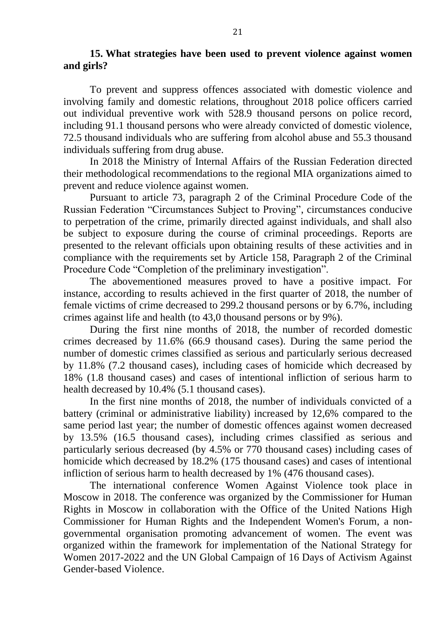#### **15. What strategies have been used to prevent violence against women and girls?**

To prevent and suppress offences associated with domestic violence and involving family and domestic relations, throughout 2018 police officers carried out individual preventive work with 528.9 thousand persons on police record, including 91.1 thousand persons who were already convicted of domestic violence, 72.5 thousand individuals who are suffering from alcohol abuse and 55.3 thousand individuals suffering from drug abuse.

In 2018 the Ministry of Internal Affairs of the Russian Federation directed their methodological recommendations to the regional MIA organizations aimed to prevent and reduce violence against women.

Pursuant to article 73, paragraph 2 of the Criminal Procedure Code of the Russian Federation "Circumstances Subject to Proving", circumstances conducive to perpetration of the crime, primarily directed against individuals, and shall also be subject to exposure during the course of criminal proceedings. Reports are presented to the relevant officials upon obtaining results of these activities and in compliance with the requirements set by Article 158, Paragraph 2 of the Criminal Procedure Code "Completion of the preliminary investigation".

The abovementioned measures proved to have a positive impact. For instance, according to results achieved in the first quarter of 2018, the number of female victims of crime decreased to 299.2 thousand persons or by 6.7%, including crimes against life and health (to 43,0 thousand persons or by 9%).

During the first nine months of 2018, the number of recorded domestic crimes decreased by 11.6% (66.9 thousand cases). During the same period the number of domestic crimes classified as serious and particularly serious decreased by 11.8% (7.2 thousand cases), including cases of homicide which decreased by 18% (1.8 thousand cases) and cases of intentional infliction of serious harm to health decreased by 10.4% (5.1 thousand cases).

In the first nine months of 2018, the number of individuals convicted of a battery (criminal or administrative liability) increased by 12,6% compared to the same period last year; the number of domestic offences against women decreased by 13.5% (16.5 thousand cases), including crimes classified as serious and particularly serious decreased (by 4.5% or 770 thousand cases) including cases of homicide which decreased by 18.2% (175 thousand cases) and cases of intentional infliction of serious harm to health decreased by 1% (476 thousand cases).

The international conference Women Against Violence took place in Moscow in 2018. The conference was organized by the Commissioner for Human Rights in Moscow in collaboration with the Office of the United Nations High Commissioner for Human Rights and the Independent Women's Forum, a nongovernmental organisation promoting advancement of women. The event was organized within the framework for implementation of the National Strategy for Women 2017-2022 and the UN Global Campaign of 16 Days of Activism Against Gender-based Violence.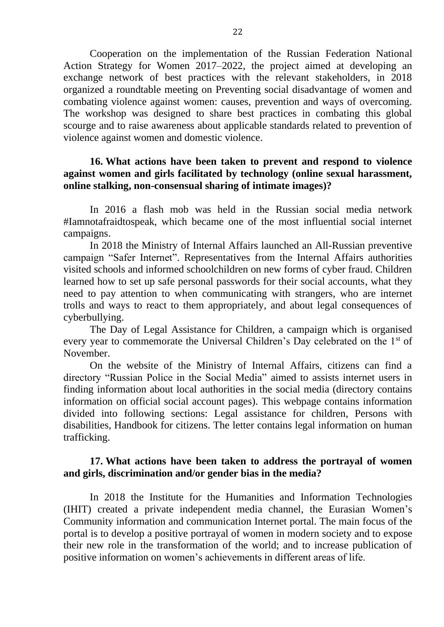Cooperation on the implementation of the Russian Federation National Action Strategy for Women 2017–2022, the project aimed at developing an exchange network of best practices with the relevant stakeholders, in 2018 organized a roundtable meeting on Preventing social disadvantage of women and combating violence against women: causes, prevention and ways of overcoming. The workshop was designed to share best practices in combating this global scourge and to raise awareness about applicable standards related to prevention of violence against women and domestic violence.

#### **16. What actions have been taken to prevent and respond to violence against women and girls facilitated by technology (online sexual harassment, online stalking, non-consensual sharing of intimate images)?**

In 2016 a flash mob was held in the Russian social media network #Iamnotafraidtospeak, which became one of the most influential social internet campaigns.

In 2018 the Ministry of Internal Affairs launched an All-Russian preventive campaign "Safer Internet". Representatives from the Internal Affairs authorities visited schools and informed schoolchildren on new forms of cyber fraud. Children learned how to set up safe personal passwords for their social accounts, what they need to pay attention to when communicating with strangers, who are internet trolls and ways to react to them appropriately, and about legal consequences of cyberbullying.

The Day of Legal Assistance for Children, a campaign which is organised every year to commemorate the Universal Children's Day celebrated on the 1<sup>st</sup> of November.

On the website of the Ministry of Internal Affairs, citizens can find a directory "Russian Police in the Social Media" aimed to assists internet users in finding information about local authorities in the social media (directory contains information on official social account pages). This webpage contains information divided into following sections: Legal assistance for children, Persons with disabilities, Handbook for citizens. The letter contains legal information on human trafficking.

#### **17. What actions have been taken to address the portrayal of women and girls, discrimination and/or gender bias in the media?**

In 2018 the Institute for the Humanities and Information Technologies (IHIT) created a private independent media channel, the Eurasian Women's Community information and communication Internet portal. The main focus of the portal is to develop a positive portrayal of women in modern society and to expose their new role in the transformation of the world; and to increase publication of positive information on women's achievements in different areas of life.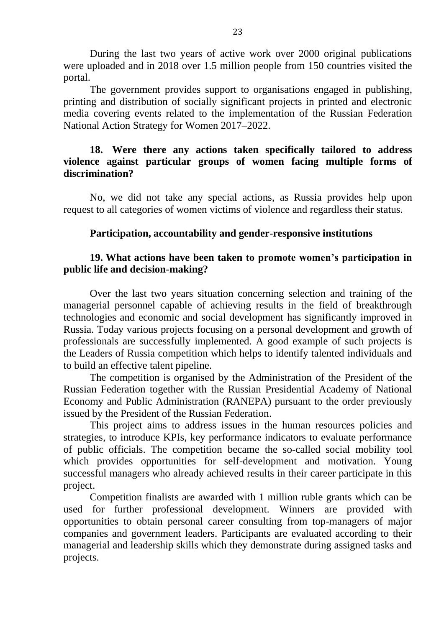During the last two years of active work over 2000 original publications were uploaded and in 2018 over 1.5 million people from 150 countries visited the portal.

The government provides support to organisations engaged in publishing, printing and distribution of socially significant projects in printed and electronic media covering events related to the implementation of the Russian Federation National Action Strategy for Women 2017–2022.

## **18. Were there any actions taken specifically tailored to address violence against particular groups of women facing multiple forms of discrimination?**

No, we did not take any special actions, as Russia provides help upon request to all categories of women victims of violence and regardless their status.

## **Participation, accountability and gender-responsive institutions**

## **19. What actions have been taken to promote women's participation in public life and decision-making?**

Over the last two years situation concerning selection and training of the managerial personnel capable of achieving results in the field of breakthrough technologies and economic and social development has significantly improved in Russia. Today various projects focusing on a personal development and growth of professionals are successfully implemented. A good example of such projects is the Leaders of Russia competition which helps to identify talented individuals and to build an effective talent pipeline.

The competition is organised by the Administration of the President of the Russian Federation together with the Russian Presidential Academy of National Economy and Public Administration (RANEPA) pursuant to the order previously issued by the President of the Russian Federation.

This project aims to address issues in the human resources policies and strategies, to introduce KPIs, key performance indicators to evaluate performance of public officials. The competition became the so-called social mobility tool which provides opportunities for self-development and motivation. Young successful managers who already achieved results in their career participate in this project.

Competition finalists are awarded with 1 million ruble grants which can be used for further professional development. Winners are provided with opportunities to obtain personal career consulting from top-managers of major companies and government leaders. Participants are evaluated according to their managerial and leadership skills which they demonstrate during assigned tasks and projects.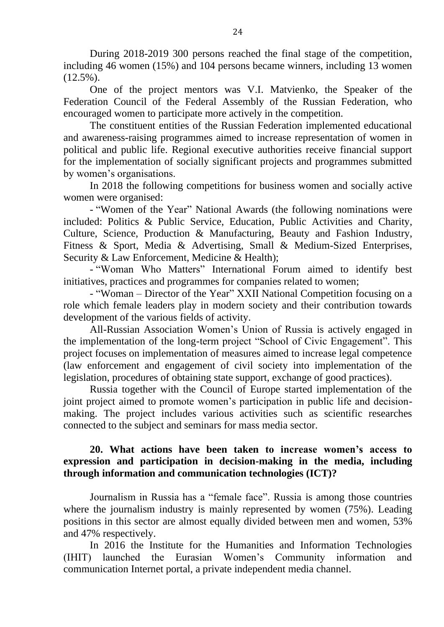During 2018-2019 300 persons reached the final stage of the competition, including 46 women (15%) and 104 persons became winners, including 13 women  $(12.5\%)$ .

One of the project mentors was V.I. Matvienko, the Speaker of the Federation Council of the Federal Assembly of the Russian Federation, who encouraged women to participate more actively in the competition.

The constituent entities of the Russian Federation implemented educational and awareness-raising programmes aimed to increase representation of women in political and public life. Regional executive authorities receive financial support for the implementation of socially significant projects and programmes submitted by women's organisations.

In 2018 the following competitions for business women and socially active women were organised:

- "Women of the Year" National Awards (the following nominations were included: Politics & Public Service, Education, Public Activities and Charity, Culture, Science, Production & Manufacturing, Beauty and Fashion Industry, Fitness & Sport, Media & Advertising, Small & Medium-Sized Enterprises, Security & Law Enforcement, Medicine & Health);

- "Woman Who Matters" International Forum aimed to identify best initiatives, practices and programmes for companies related to women;

- "Woman – Director of the Year" XXII National Competition focusing on a role which female leaders play in modern society and their contribution towards development of the various fields of activity.

All-Russian Association Women's Union of Russia is actively engaged in the implementation of the long-term project "School of Civic Engagement". This project focuses on implementation of measures aimed to increase legal competence (law enforcement and engagement of civil society into implementation of the legislation, procedures of obtaining state support, exchange of good practices).

Russia together with the Council of Europe started implementation of the joint project aimed to promote women's participation in public life and decisionmaking. The project includes various activities such as scientific researches connected to the subject and seminars for mass media sector.

## **20. What actions have been taken to increase women's access to expression and participation in decision-making in the media, including through information and communication technologies (ICT)?**

Journalism in Russia has a "female face". Russia is among those countries where the journalism industry is mainly represented by women (75%). Leading positions in this sector are almost equally divided between men and women, 53% and 47% respectively.

In 2016 the Institute for the Humanities and Information Technologies (IHIT) launched the Eurasian Women's Community information and communication Internet portal, a private independent media channel.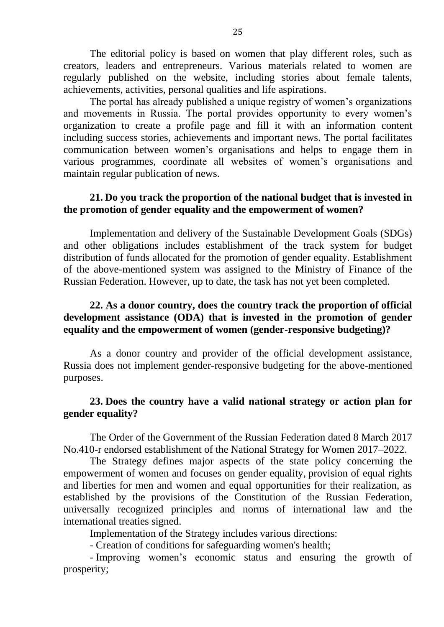The editorial policy is based on women that play different roles, such as creators, leaders and entrepreneurs. Various materials related to women are regularly published on the website, including stories about female talents, achievements, activities, personal qualities and life aspirations.

The portal has already published a unique registry of women's organizations and movements in Russia. The portal provides opportunity to every women's organization to create a profile page and fill it with an information content including success stories, achievements and important news. The portal facilitates communication between women's organisations and helps to engage them in various programmes, coordinate all websites of women's organisations and maintain regular publication of news.

## **21. Do you track the proportion of the national budget that is invested in the promotion of gender equality and the empowerment of women?**

Implementation and delivery of the Sustainable Development Goals (SDGs) and other obligations includes establishment of the track system for budget distribution of funds allocated for the promotion of gender equality. Establishment of the above-mentioned system was assigned to the Ministry of Finance of the Russian Federation. However, up to date, the task has not yet been completed.

## **22. As a donor country, does the country track the proportion of official development assistance (ODA) that is invested in the promotion of gender equality and the empowerment of women (gender-responsive budgeting)?**

As a donor country and provider of the official development assistance, Russia does not implement gender-responsive budgeting for the above-mentioned purposes.

## **23. Does the country have a valid national strategy or action plan for gender equality?**

The Order of the Government of the Russian Federation dated 8 March 2017 No.410-r endorsed establishment of the National Strategy for Women 2017–2022.

The Strategy defines major aspects of the state policy concerning the empowerment of women and focuses on gender equality, provision of equal rights and liberties for men and women and equal opportunities for their realization, as established by the provisions of the Constitution of the Russian Federation, universally recognized principles and norms of international law and the international treaties signed.

Implementation of the Strategy includes various directions:

- Creation of conditions for safeguarding women's health;

- Improving women's economic status and ensuring the growth of prosperity;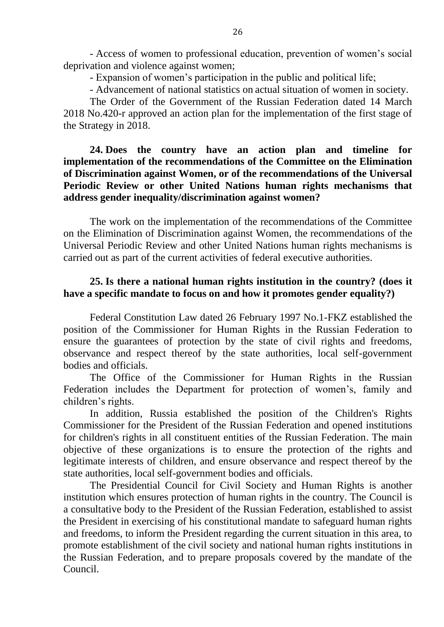- Access of women to professional education, prevention of women's social deprivation and violence against women;

- Expansion of women's participation in the public and political life;

- Advancement of national statistics on actual situation of women in society.

The Order of the Government of the Russian Federation dated 14 March 2018 No.420-r approved an action plan for the implementation of the first stage of the Strategy in 2018.

### **24. Does the country have an action plan and timeline for implementation of the recommendations of the Committee on the Elimination of Discrimination against Women, or of the recommendations of the Universal Periodic Review or other United Nations human rights mechanisms that address gender inequality/discrimination against women?**

The work on the implementation of the recommendations of the Committee on the Elimination of Discrimination against Women, the recommendations of the Universal Periodic Review and other United Nations human rights mechanisms is carried out as part of the current activities of federal executive authorities.

## **25. Is there a national human rights institution in the country? (does it have a specific mandate to focus on and how it promotes gender equality?)**

Federal Constitution Law dated 26 February 1997 No.1-FKZ established the position of the Commissioner for Human Rights in the Russian Federation to ensure the guarantees of protection by the state of civil rights and freedoms, observance and respect thereof by the state authorities, local self-government bodies and officials.

The Office of the Commissioner for Human Rights in the Russian Federation includes the Department for protection of women's, family and children's rights.

In addition, Russia established the position of the Children's Rights Commissioner for the President of the Russian Federation and opened institutions for children's rights in all constituent entities of the Russian Federation. The main objective of these organizations is to ensure the protection of the rights and legitimate interests of children, and ensure observance and respect thereof by the state authorities, local self-government bodies and officials.

The Presidential Council for Civil Society and Human Rights is another institution which ensures protection of human rights in the country. The Council is a consultative body to the President of the Russian Federation, established to assist the President in exercising of his constitutional mandate to safeguard human rights and freedoms, to inform the President regarding the current situation in this area, to promote establishment of the civil society and national human rights institutions in the Russian Federation, and to prepare proposals covered by the mandate of the Council.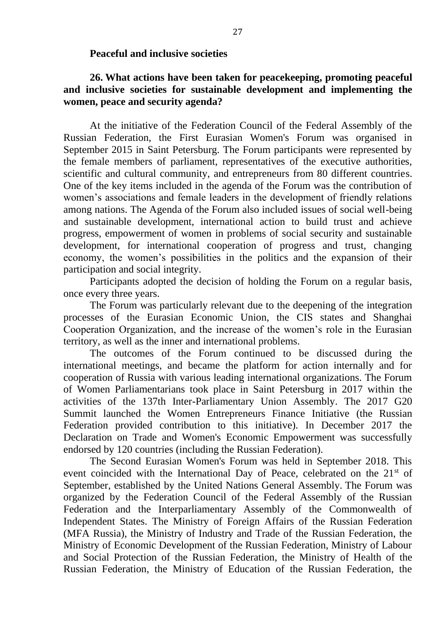#### **Peaceful and inclusive societies**

## **26. What actions have been taken for peacekeeping, promoting peaceful and inclusive societies for sustainable development and implementing the women, peace and security agenda?**

At the initiative of the Federation Council of the Federal Assembly of the Russian Federation, the First Eurasian Women's Forum was organised in September 2015 in Saint Petersburg. The Forum participants were represented by the female members of parliament, representatives of the executive authorities, scientific and cultural community, and entrepreneurs from 80 different countries. One of the key items included in the agenda of the Forum was the contribution of women's associations and female leaders in the development of friendly relations among nations. The Agenda of the Forum also included issues of social well-being and sustainable development, international action to build trust and achieve progress, empowerment of women in problems of social security and sustainable development, for international cooperation of progress and trust, changing economy, the women's possibilities in the politics and the expansion of their participation and social integrity.

Participants adopted the decision of holding the Forum on a regular basis, once every three years.

The Forum was particularly relevant due to the deepening of the integration processes of the Eurasian Economic Union, the CIS states and Shanghai Cooperation Organization, and the increase of the women's role in the Eurasian territory, as well as the inner and international problems.

The outcomes of the Forum continued to be discussed during the international meetings, and became the platform for action internally and for cooperation of Russia with various leading international organizations. The Forum of Women Parliamentarians took place in Saint Petersburg in 2017 within the activities of the 137th Inter-Parliamentary Union Assembly. The 2017 G20 Summit launched the Women Entrepreneurs Finance Initiative (the Russian Federation provided contribution to this initiative). In December 2017 the Declaration on Trade and Women's Economic Empowerment was successfully endorsed by 120 countries (including the Russian Federation).

The Second Eurasian Women's Forum was held in September 2018. This event coincided with the International Day of Peace, celebrated on the 21<sup>st</sup> of September, established by the United Nations General Assembly. The Forum was organized by the Federation Council of the Federal Assembly of the Russian Federation and the Interparliamentary Assembly of the Commonwealth of Independent States. The Ministry of Foreign Affairs of the Russian Federation (MFA Russia), the Ministry of Industry and Trade of the Russian Federation, the Ministry of Economic Development of the Russian Federation, Ministry of Labour and Social Protection of the Russian Federation, the Ministry of Health of the Russian Federation, the Ministry of Education of the Russian Federation, the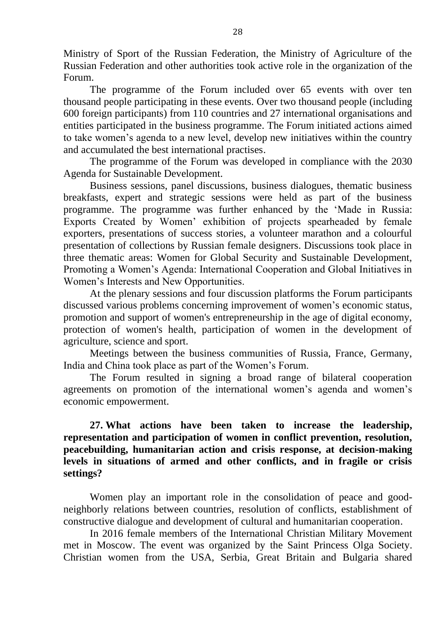Ministry of Sport of the Russian Federation, the Ministry of Agriculture of the Russian Federation and other authorities took active role in the organization of the Forum.

The programme of the Forum included over 65 events with over ten thousand people participating in these events. Over two thousand people (including 600 foreign participants) from 110 countries and 27 international organisations and entities participated in the business programme. The Forum initiated actions aimed to take women's agenda to a new level, develop new initiatives within the country and accumulated the best international practises.

The programme of the Forum was developed in compliance with the 2030 Agenda for Sustainable Development.

Business sessions, panel discussions, business dialogues, thematic business breakfasts, expert and strategic sessions were held as part of the business programme. The programme was further enhanced by the 'Made in Russia: Exports Created by Women' exhibition of projects spearheaded by female exporters, presentations of success stories, a volunteer marathon and a colourful presentation of collections by Russian female designers. Discussions took place in three thematic areas: Women for Global Security and Sustainable Development, Promoting a Women's Agenda: International Cooperation and Global Initiatives in Women's Interests and New Opportunities.

At the plenary sessions and four discussion platforms the Forum participants discussed various problems concerning improvement of women's economic status, promotion and support of women's entrepreneurship in the age of digital economy, protection of women's health, participation of women in the development of agriculture, science and sport.

Meetings between the business communities of Russia, France, Germany, India and China took place as part of the Women's Forum.

The Forum resulted in signing a broad range of bilateral cooperation agreements on promotion of the international women's agenda and women's economic empowerment.

## **27. What actions have been taken to increase the leadership, representation and participation of women in conflict prevention, resolution, peacebuilding, humanitarian action and crisis response, at decision-making levels in situations of armed and other conflicts, and in fragile or crisis settings?**

Women play an important role in the consolidation of peace and goodneighborly relations between countries, resolution of conflicts, establishment of constructive dialogue and development of cultural and humanitarian cooperation.

In 2016 female members of the International Christian Military Movement met in Moscow. The event was organized by the Saint Princess Olga Society. Christian women from the USA, Serbia, Great Britain and Bulgaria shared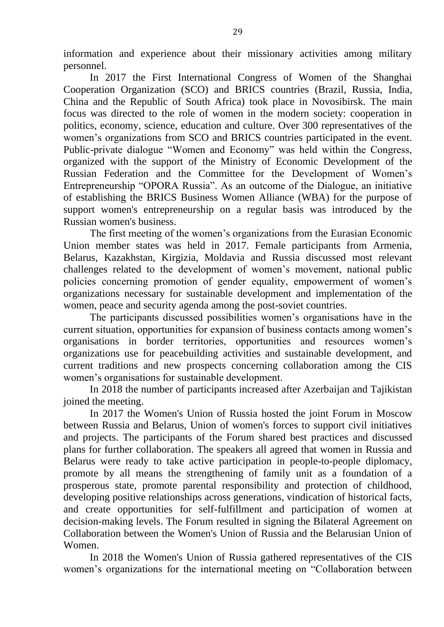information and experience about their missionary activities among military personnel.

In 2017 the First International Congress of Women of the Shanghai Cooperation Organization (SCO) and BRICS countries (Brazil, Russia, India, China and the Republic of South Africa) took place in Novosibirsk. The main focus was directed to the role of women in the modern society: cooperation in politics, economy, science, education and culture. Over 300 representatives of the women's organizations from SCO and BRICS countries participated in the event. Public-private dialogue "Women and Economy" was held within the Congress, organized with the support of the Ministry of Economic Development of the Russian Federation and the Committee for the Development of Women's Entrepreneurship "OPORA Russia". As an outcome of the Dialogue, an initiative of establishing the BRICS Business Women Alliance (WBA) for the purpose of support women's entrepreneurship on a regular basis was introduced by the Russian women's business.

The first meeting of the women's organizations from the Eurasian Economic Union member states was held in 2017. Female participants from Armenia, Belarus, Kazakhstan, Kirgizia, Moldavia and Russia discussed most relevant challenges related to the development of women's movement, national public policies concerning promotion of gender equality, empowerment of women's organizations necessary for sustainable development and implementation of the women, peace and security agenda among the post-soviet countries.

The participants discussed possibilities women's organisations have in the current situation, opportunities for expansion of business contacts among women's organisations in border territories, opportunities and resources women's organizations use for peacebuilding activities and sustainable development, and current traditions and new prospects concerning collaboration among the CIS women's organisations for sustainable development.

In 2018 the number of participants increased after Azerbaijan and Tajikistan joined the meeting.

In 2017 the Women's Union of Russia hosted the joint Forum in Moscow between Russia and Belarus, Union of women's forces to support civil initiatives and projects. The participants of the Forum shared best practices and discussed plans for further collaboration. The speakers all agreed that women in Russia and Belarus were ready to take active participation in people-to-people diplomacy, promote by all means the strengthening of family unit as a foundation of a prosperous state, promote parental responsibility and protection of childhood, developing positive relationships across generations, vindication of historical facts, and create opportunities for self-fulfillment and participation of women at decision-making levels. The Forum resulted in signing the Bilateral Agreement on Collaboration between the Women's Union of Russia and the Belarusian Union of Women.

In 2018 the Women's Union of Russia gathered representatives of the CIS women's organizations for the international meeting on "Collaboration between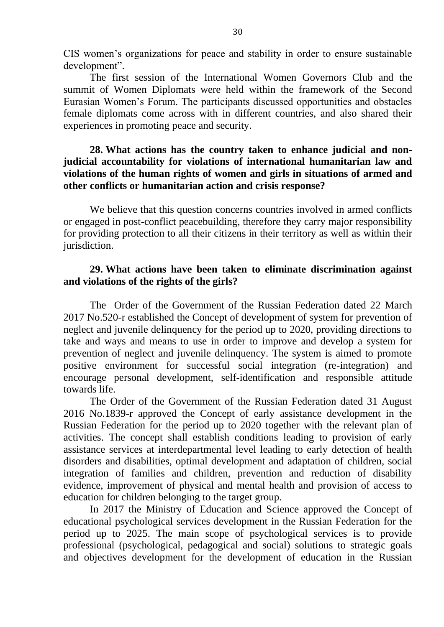CIS women's organizations for peace and stability in order to ensure sustainable development".

The first session of the International Women Governors Club and the summit of Women Diplomats were held within the framework of the Second Eurasian Women's Forum. The participants discussed opportunities and obstacles female diplomats come across with in different countries, and also shared their experiences in promoting peace and security.

### **28. What actions has the country taken to enhance judicial and nonjudicial accountability for violations of international humanitarian law and violations of the human rights of women and girls in situations of armed and other conflicts or humanitarian action and crisis response?**

We believe that this question concerns countries involved in armed conflicts or engaged in post-conflict peacebuilding, therefore they carry major responsibility for providing protection to all their citizens in their territory as well as within their jurisdiction.

### **29. What actions have been taken to eliminate discrimination against and violations of the rights of the girls?**

The Order of the Government of the Russian Federation dated 22 March 2017 No.520-r established the Concept of development of system for prevention of neglect and juvenile delinquency for the period up to 2020, providing directions to take and ways and means to use in order to improve and develop a system for prevention of neglect and juvenile delinquency. The system is aimed to promote positive environment for successful social integration (re-integration) and encourage personal development, self-identification and responsible attitude towards life.

The Order of the Government of the Russian Federation dated 31 August 2016 No.1839-r approved the Concept of early assistance development in the Russian Federation for the period up to 2020 together with the relevant plan of activities. The concept shall establish conditions leading to provision of early assistance services at interdepartmental level leading to early detection of health disorders and disabilities, optimal development and adaptation of children, social integration of families and children, prevention and reduction of disability evidence, improvement of physical and mental health and provision of access to education for children belonging to the target group.

In 2017 the Ministry of Education and Science approved the Concept of educational psychological services development in the Russian Federation for the period up to 2025. The main scope of psychological services is to provide professional (psychological, pedagogical and social) solutions to strategic goals and objectives development for the development of education in the Russian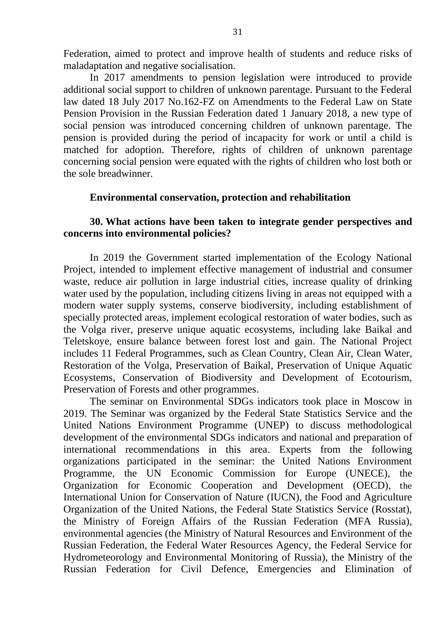Federation, aimed to protect and improve health of students and reduce risks of maladaptation and negative socialisation.

In 2017 amendments to pension legislation were introduced to provide additional social support to children of unknown parentage. Pursuant to the Federal law dated 18 July 2017 No.162-FZ on Amendments to the Federal Law on State Pension Provision in the Russian Federation dated 1 January 2018, a new type of social pension was introduced concerning children of unknown parentage. The pension is provided during the period of incapacity for work or until a child is matched for adoption. Therefore, rights of children of unknown parentage concerning social pension were equated with the rights of children who lost both or the sole breadwinner.

#### **Environmental conservation, protection and rehabilitation**

#### **30. What actions have been taken to integrate gender perspectives and concerns into environmental policies?**

In 2019 the Government started implementation of the Ecology National Project, intended to implement effective management of industrial and consumer waste, reduce air pollution in large industrial cities, increase quality of drinking water used by the population, including citizens living in areas not equipped with a modern water supply systems, conserve biodiversity, including establishment of specially protected areas, implement ecological restoration of water bodies, such as the Volga river, preserve unique aquatic ecosystems, including lake Baikal and Teletskoye, ensure balance between forest lost and gain. The National Project includes 11 Federal Programmes, such as Clean Country, Clean Air, Clean Water, Restoration of the Volga, Preservation of Baikal, Preservation of Unique Aquatic Ecosystems, Conservation of Biodiversity and Development of Ecotourism, Preservation of Forests and other programmes.

The seminar on Environmental SDGs indicators took place in Moscow in 2019. The Seminar was organized by the Federal State Statistics Service and the United Nations Environment Programme (UNEP) to discuss methodological development of the environmental SDGs indicators and national and preparation of international recommendations in this area. Experts from the following organizations participated in the seminar: the United Nations Environment Programme, the UN Economic Commission for Europe (UNECE), the Organization for Economic Cooperation and Development (OECD), the International Union for Conservation of Nature (IUCN), the Food and Agriculture Organization of the United Nations, the Federal State Statistics Service (Rosstat), the Ministry of Foreign Affairs of the Russian Federation (MFA Russia), environmental agencies (the Ministry of Natural Resources and Environment of the Russian Federation, the Federal Water Resources Agency, the Federal Service for Hydrometeorology and Environmental Monitoring of Russia), the Ministry of the Russian Federation for Civil Defence, Emergencies and Elimination of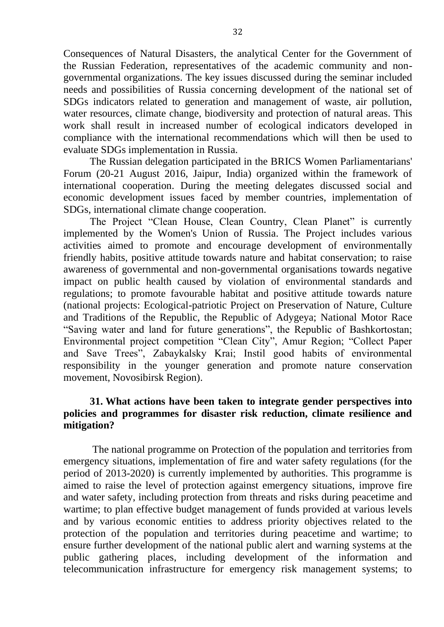Consequences of Natural Disasters, the analytical Center for the Government of the Russian Federation, representatives of the academic community and nongovernmental organizations. The key issues discussed during the seminar included needs and possibilities of Russia concerning development of the national set of SDGs indicators related to generation and management of waste, air pollution, water resources, climate change, biodiversity and protection of natural areas. This work shall result in increased number of ecological indicators developed in compliance with the international recommendations which will then be used to evaluate SDGs implementation in Russia.

The Russian delegation participated in the BRICS Women Parliamentarians' Forum (20-21 August 2016, Jaipur, India) organized within the framework of international cooperation. During the meeting delegates discussed social and economic development issues faced by member countries, implementation of SDGs, international climate change cooperation.

The Project "Clean House, Clean Country, Clean Planet" is currently implemented by the Women's Union of Russia. The Project includes various activities aimed to promote and encourage development of environmentally friendly habits, positive attitude towards nature and habitat conservation; to raise awareness of governmental and non-governmental organisations towards negative impact on public health caused by violation of environmental standards and regulations; to promote favourable habitat and positive attitude towards nature (national projects: Ecological-patriotic Project on Preservation of Nature, Culture and Traditions of the Republic, the Republic of Adygeya; National Motor Race "Saving water and land for future generations", the Republic of Bashkortostan; Environmental project competition "Clean City", Amur Region; "Collect Paper and Save Trees", Zabaykalsky Krai; Instil good habits of environmental responsibility in the younger generation and promote nature conservation movement, Novosibirsk Region).

#### **31. What actions have been taken to integrate gender perspectives into policies and programmes for disaster risk reduction, climate resilience and mitigation?**

The national programme on Protection of the population and territories from emergency situations, implementation of fire and water safety regulations (for the period of 2013-2020) is currently implemented by authorities. This programme is aimed to raise the level of protection against emergency situations, improve fire and water safety, including protection from threats and risks during peacetime and wartime; to plan effective budget management of funds provided at various levels and by various economic entities to address priority objectives related to the protection of the population and territories during peacetime and wartime; to ensure further development of the national public alert and warning systems at the public gathering places, including development of the information and telecommunication infrastructure for emergency risk management systems; to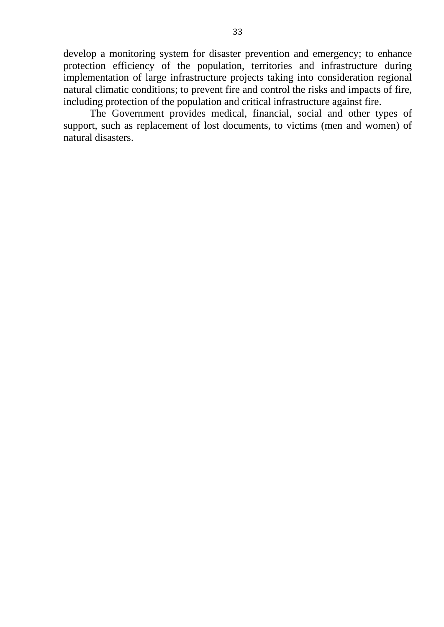develop a monitoring system for disaster prevention and emergency; to enhance protection efficiency of the population, territories and infrastructure during implementation of large infrastructure projects taking into consideration regional natural climatic conditions; to prevent fire and control the risks and impacts of fire, including protection of the population and critical infrastructure against fire.

The Government provides medical, financial, social and other types of support, such as replacement of lost documents, to victims (men and women) of natural disasters.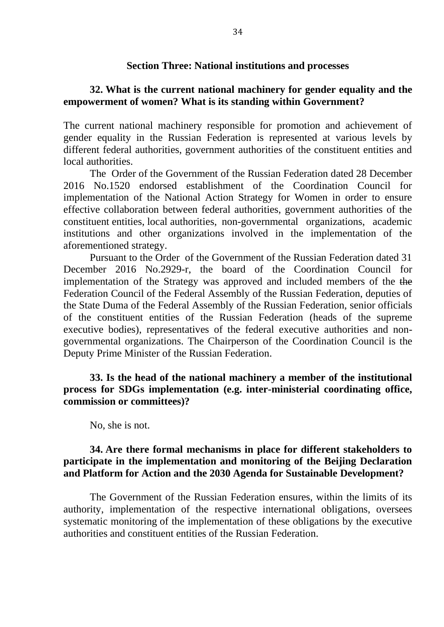#### **Section Three: National institutions and processes**

#### **32. What is the current national machinery for gender equality and the empowerment of women? What is its standing within Government?**

The current national machinery responsible for promotion and achievement of gender equality in the Russian Federation is represented at various levels by different federal authorities, government authorities of the constituent entities and local authorities.

The Order of the Government of the Russian Federation dated 28 December 2016 No.1520 endorsed establishment of the Coordination Council for implementation of the National Action Strategy for Women in order to ensure effective collaboration between federal authorities, government authorities of the constituent entities, local authorities, non-governmental organizations, academic institutions and other organizations involved in the implementation of the aforementioned strategy.

Pursuant to the Order of the Government of the Russian Federation dated 31 December 2016 No.2929-r, the board of the Coordination Council for implementation of the Strategy was approved and included members of the the Federation Council of the Federal Assembly of the Russian Federation, deputies of the State Duma of the Federal Assembly of the Russian Federation, senior officials of the constituent entities of the Russian Federation (heads of the supreme executive bodies), representatives of the federal executive authorities and nongovernmental organizations. The Chairperson of the Coordination Council is the Deputy Prime Minister of the Russian Federation.

**33. Is the head of the national machinery a member of the institutional process for SDGs implementation (e.g. inter-ministerial coordinating office, commission or committees)?**

No, she is not.

#### **34. Are there formal mechanisms in place for different stakeholders to participate in the implementation and monitoring of the Beijing Declaration and Platform for Action and the 2030 Agenda for Sustainable Development?**

The Government of the Russian Federation ensures, within the limits of its authority, implementation of the respective international obligations, oversees systematic monitoring of the implementation of these obligations by the executive authorities and constituent entities of the Russian Federation.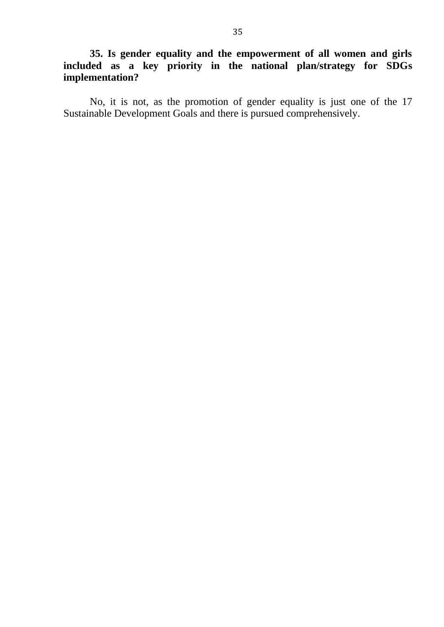**35. Is gender equality and the empowerment of all women and girls included as a key priority in the national plan/strategy for SDGs implementation?**

No, it is not, as the promotion of gender equality is just one of the 17 Sustainable Development Goals and there is pursued comprehensively.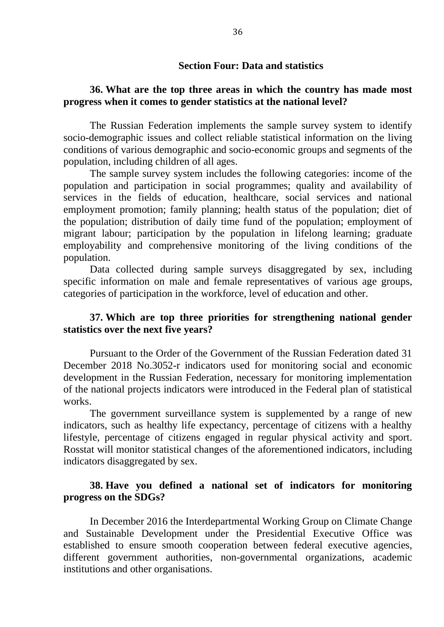#### **Section Four: Data and statistics**

#### **36. What are the top three areas in which the country has made most progress when it comes to gender statistics at the national level?**

The Russian Federation implements the sample survey system to identify socio-demographic issues and collect reliable statistical information on the living conditions of various demographic and socio-economic groups and segments of the population, including children of all ages.

The sample survey system includes the following categories: income of the population and participation in social programmes; quality and availability of services in the fields of education, healthcare, social services and national employment promotion; family planning; health status of the population; diet of the population; distribution of daily time fund of the population; employment of migrant labour; participation by the population in lifelong learning; graduate employability and comprehensive monitoring of the living conditions of the population.

Data collected during sample surveys disaggregated by sex, including specific information on male and female representatives of various age groups, categories of participation in the workforce, level of education and other.

#### **37. Which are top three priorities for strengthening national gender statistics over the next five years?**

Pursuant to the Order of the Government of the Russian Federation dated 31 December 2018 No.3052-r indicators used for monitoring social and economic development in the Russian Federation, necessary for monitoring implementation of the national projects indicators were introduced in the Federal plan of statistical works.

The government surveillance system is supplemented by a range of new indicators, such as healthy life expectancy, percentage of citizens with a healthy lifestyle, percentage of citizens engaged in regular physical activity and sport. Rosstat will monitor statistical changes of the aforementioned indicators, including indicators disaggregated by sex.

#### **38. Have you defined a national set of indicators for monitoring progress on the SDGs?**

In December 2016 the Interdepartmental Working Group on Climate Change and Sustainable Development under the Presidential Executive Office was established to ensure smooth cooperation between federal executive agencies, different government authorities, non-governmental organizations, academic institutions and other organisations.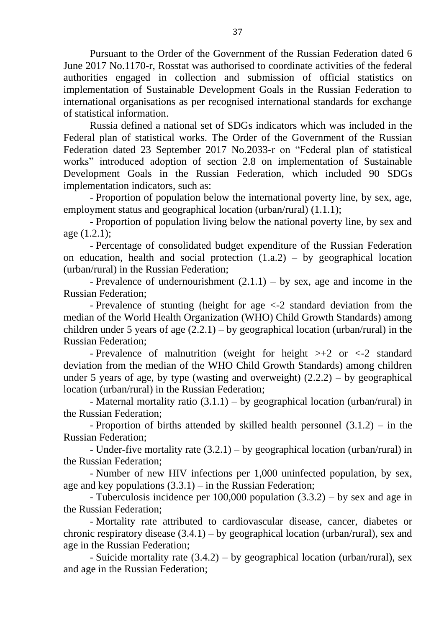Pursuant to the Order of the Government of the Russian Federation dated 6 June 2017 No.1170-r, Rosstat was authorised to coordinate activities of the federal authorities engaged in collection and submission of official statistics on implementation of Sustainable Development Goals in the Russian Federation to international organisations as per recognised international standards for exchange of statistical information.

Russia defined a national set of SDGs indicators which was included in the Federal plan of statistical works. The Order of the Government of the Russian Federation dated 23 September 2017 No.2033-r on "Federal plan of statistical works" introduced adoption of section 2.8 on implementation of Sustainable Development Goals in the Russian Federation, which included 90 SDGs implementation indicators, such as:

- Proportion of population below the international poverty line, by sex, age, employment status and geographical location (urban/rural) (1.1.1);

- Proportion of population living below the national poverty line, by sex and age (1.2.1);

- Percentage of consolidated budget expenditure of the Russian Federation on education, health and social protection  $(1.a.2)$  – by geographical location (urban/rural) in the Russian Federation;

- Prevalence of undernourishment  $(2.1.1)$  – by sex, age and income in the Russian Federation;

- Prevalence of stunting (height for age <-2 standard deviation from the median of the World Health Organization (WHO) Child Growth Standards) among children under 5 years of age  $(2.2.1)$  – by geographical location (urban/rural) in the Russian Federation;

- Prevalence of malnutrition (weight for height  $\geq +2$  or  $\leq -2$  standard deviation from the median of the WHO Child Growth Standards) among children under 5 years of age, by type (wasting and overweight)  $(2.2.2)$  – by geographical location (urban/rural) in the Russian Federation;

- Maternal mortality ratio  $(3.1.1)$  – by geographical location (urban/rural) in the Russian Federation;

- Proportion of births attended by skilled health personnel (3.1.2) – in the Russian Federation;

- Under-five mortality rate (3.2.1) – by geographical location (urban/rural) in the Russian Federation;

- Number of new HIV infections per 1,000 uninfected population, by sex, age and key populations  $(3.3.1)$  – in the Russian Federation;

- Tuberculosis incidence per 100,000 population (3.3.2) – by sex and age in the Russian Federation;

- Mortality rate attributed to cardiovascular disease, cancer, diabetes or chronic respiratory disease  $(3.4.1)$  – by geographical location (urban/rural), sex and age in the Russian Federation;

- Suicide mortality rate (3.4.2) – by geographical location (urban/rural), sex and age in the Russian Federation;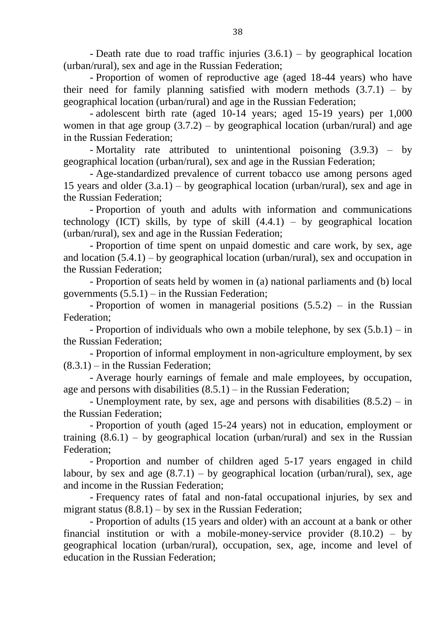- Death rate due to road traffic injuries  $(3.6.1)$  – by geographical location (urban/rural), sex and age in the Russian Federation;

- Proportion of women of reproductive age (aged 18-44 years) who have their need for family planning satisfied with modern methods  $(3.7.1) - by$ geographical location (urban/rural) and age in the Russian Federation;

- adolescent birth rate (aged 10-14 years; aged 15-19 years) per 1,000 women in that age group  $(3.7.2)$  – by geographical location (urban/rural) and age in the Russian Federation;

- Mortality rate attributed to unintentional poisoning (3.9.3) – by geographical location (urban/rural), sex and age in the Russian Federation;

- Age-standardized prevalence of current tobacco use among persons aged 15 years and older  $(3.a.1)$  – by geographical location (urban/rural), sex and age in the Russian Federation;

- Proportion of youth and adults with information and communications technology (ICT) skills, by type of skill  $(4.4.1)$  – by geographical location (urban/rural), sex and age in the Russian Federation;

- Proportion of time spent on unpaid domestic and care work, by sex, age and location  $(5.4.1)$  – by geographical location (urban/rural), sex and occupation in the Russian Federation;

- Proportion of seats held by women in (a) national parliaments and (b) local governments  $(5.5.1)$  – in the Russian Federation;

- Proportion of women in managerial positions (5.5.2) – in the Russian Federation;

- Proportion of individuals who own a mobile telephone, by sex  $(5.b.1) - in$ the Russian Federation;

- Proportion of informal employment in non-agriculture employment, by sex  $(8.3.1)$  – in the Russian Federation:

- Average hourly earnings of female and male employees, by occupation, age and persons with disabilities  $(8.5.1)$  – in the Russian Federation;

- Unemployment rate, by sex, age and persons with disabilities (8.5.2) – in the Russian Federation;

- Proportion of youth (aged 15-24 years) not in education, employment or training  $(8.6.1)$  – by geographical location (urban/rural) and sex in the Russian Federation;

- Proportion and number of children aged 5-17 years engaged in child labour, by sex and age  $(8.7.1)$  – by geographical location (urban/rural), sex, age and income in the Russian Federation;

- Frequency rates of fatal and non-fatal occupational injuries, by sex and migrant status  $(8.8.1)$  – by sex in the Russian Federation;

- Proportion of adults (15 years and older) with an account at a bank or other financial institution or with a mobile-money-service provider  $(8.10.2) - by$ geographical location (urban/rural), occupation, sex, age, income and level of education in the Russian Federation;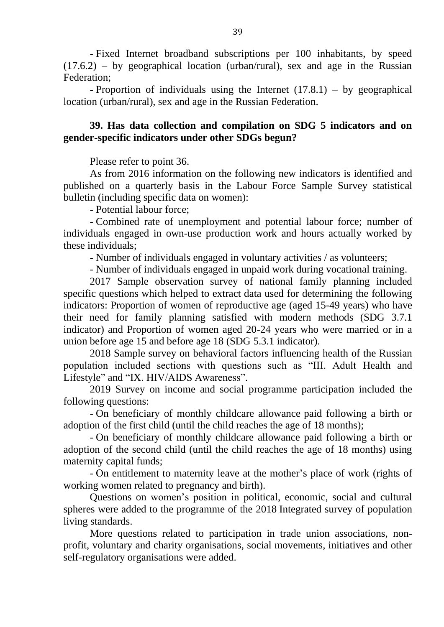- Fixed Internet broadband subscriptions per 100 inhabitants, by speed  $(17.6.2)$  – by geographical location (urban/rural), sex and age in the Russian Federation;

- Proportion of individuals using the Internet (17.8.1) – by geographical location (urban/rural), sex and age in the Russian Federation.

## **39. Has data collection and compilation on SDG 5 indicators and on gender-specific indicators under other SDGs begun?**

Please refer to point 36.

As from 2016 information on the following new indicators is identified and published on a quarterly basis in the Labour Force Sample Survey statistical bulletin (including specific data on women):

- Potential labour force;

- Combined rate of unemployment and potential labour force; number of individuals engaged in own-use production work and hours actually worked by these individuals;

- Number of individuals engaged in voluntary activities / as volunteers;

- Number of individuals engaged in unpaid work during vocational training.

2017 Sample observation survey of national family planning included specific questions which helped to extract data used for determining the following indicators: Proportion of women of reproductive age (aged 15-49 years) who have their need for family planning satisfied with modern methods (SDG 3.7.1 indicator) and Proportion of women aged 20-24 years who were married or in a union before age 15 and before age 18 (SDG 5.3.1 indicator).

2018 Sample survey on behavioral factors influencing health of the Russian population included sections with questions such as "III. Adult Health and Lifestyle" and "IX. HIV/AIDS Awareness".

2019 Survey on income and social programme participation included the following questions:

- On beneficiary of monthly childcare allowance paid following a birth or adoption of the first child (until the child reaches the age of 18 months);

- On beneficiary of monthly childcare allowance paid following a birth or adoption of the second child (until the child reaches the age of 18 months) using maternity capital funds;

- Оn entitlement to maternity leave at the mother's place of work (rights of working women related to pregnancy and birth).

Questions on women's position in political, economic, social and cultural spheres were added to the programme of the 2018 Integrated survey of population living standards.

More questions related to participation in trade union associations, nonprofit, voluntary and charity organisations, social movements, initiatives and other self-regulatory organisations were added.